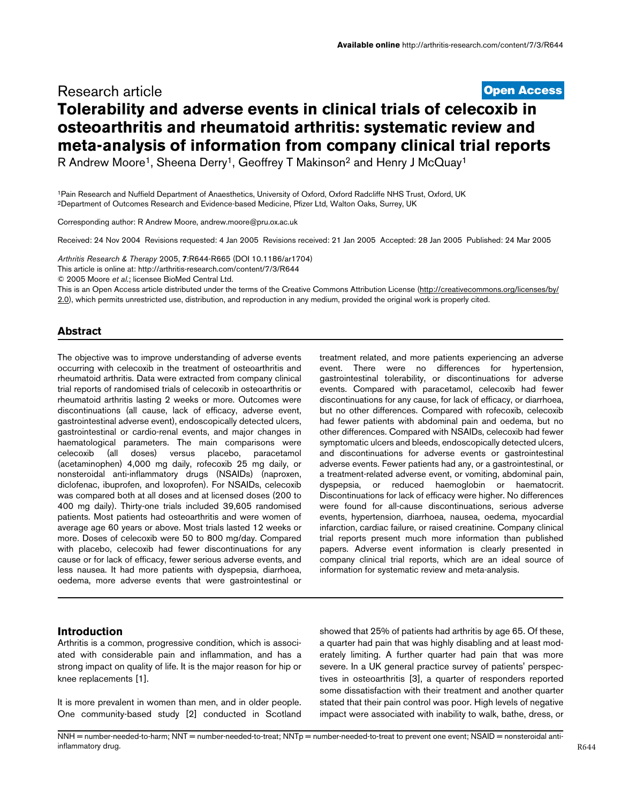# **[Open Access](http://www.biomedcentral.com/info/about/charter/)** Research article **Tolerability and adverse events in clinical trials of celecoxib in osteoarthritis and rheumatoid arthritis: systematic review and meta-analysis of information from company clinical trial reports**

R Andrew Moore<sup>1</sup>, Sheena Derry<sup>1</sup>, Geoffrey T Makinson<sup>2</sup> and Henry J McQuay<sup>1</sup>

1Pain Research and Nuffield Department of Anaesthetics, University of Oxford, Oxford Radcliffe NHS Trust, Oxford, UK 2Department of Outcomes Research and Evidence-based Medicine, Pfizer Ltd, Walton Oaks, Surrey, UK

Corresponding author: R Andrew Moore, andrew.moore@pru.ox.ac.uk

Received: 24 Nov 2004 Revisions requested: 4 Jan 2005 Revisions received: 21 Jan 2005 Accepted: 28 Jan 2005 Published: 24 Mar 2005

*Arthritis Research & Therapy* 2005, **7**:R644-R665 (DOI 10.1186/ar1704)

[This article is online at: http://arthritis-research.com/content/7/3/R644](http://arthritis-research.com/content/7/3/R625)

© 2005 Moore *et al*.; licensee BioMed Central Ltd.

This is an Open Access article distributed under the terms of the Creative Commons Attribution License ([http://creativecommons.org/licenses/by/](http://creativecommons.org/licenses/by/2.0) [2.0\)](http://creativecommons.org/licenses/by/2.0), which permits unrestricted use, distribution, and reproduction in any medium, provided the original work is properly cited.

# **Abstract**

The objective was to improve understanding of adverse events occurring with celecoxib in the treatment of osteoarthritis and rheumatoid arthritis. Data were extracted from company clinical trial reports of randomised trials of celecoxib in osteoarthritis or rheumatoid arthritis lasting 2 weeks or more. Outcomes were discontinuations (all cause, lack of efficacy, adverse event, gastrointestinal adverse event), endoscopically detected ulcers, gastrointestinal or cardio-renal events, and major changes in haematological parameters. The main comparisons were celecoxib (all doses) versus placebo, paracetamol (acetaminophen) 4,000 mg daily, rofecoxib 25 mg daily, or nonsteroidal anti-inflammatory drugs (NSAIDs) (naproxen, diclofenac, ibuprofen, and loxoprofen). For NSAIDs, celecoxib was compared both at all doses and at licensed doses (200 to 400 mg daily). Thirty-one trials included 39,605 randomised patients. Most patients had osteoarthritis and were women of average age 60 years or above. Most trials lasted 12 weeks or more. Doses of celecoxib were 50 to 800 mg/day. Compared with placebo, celecoxib had fewer discontinuations for any cause or for lack of efficacy, fewer serious adverse events, and less nausea. It had more patients with dyspepsia, diarrhoea, oedema, more adverse events that were gastrointestinal or

# gastrointestinal tolerability, or discontinuations for adverse events. Compared with paracetamol, celecoxib had fewer discontinuations for any cause, for lack of efficacy, or diarrhoea, but no other differences. Compared with rofecoxib, celecoxib had fewer patients with abdominal pain and oedema, but no other differences. Compared with NSAIDs, celecoxib had fewer symptomatic ulcers and bleeds, endoscopically detected ulcers, and discontinuations for adverse events or gastrointestinal adverse events. Fewer patients had any, or a gastrointestinal, or a treatment-related adverse event, or vomiting, abdominal pain, dyspepsia, or reduced haemoglobin or haematocrit. Discontinuations for lack of efficacy were higher. No differences were found for all-cause discontinuations, serious adverse events, hypertension, diarrhoea, nausea, oedema, myocardial infarction, cardiac failure, or raised creatinine. Company clinical trial reports present much more information than published papers. Adverse event information is clearly presented in company clinical trial reports, which are an ideal source of information for systematic review and meta-analysis.

treatment related, and more patients experiencing an adverse event. There were no differences for hypertension,

# **Introduction**

Arthritis is a common, progressive condition, which is associated with considerable pain and inflammation, and has a strong impact on quality of life. It is the major reason for hip or knee replacements [1].

It is more prevalent in women than men, and in older people. One community-based study [2] conducted in Scotland

showed that 25% of patients had arthritis by age 65. Of these, a quarter had pain that was highly disabling and at least moderately limiting. A further quarter had pain that was more severe. In a UK general practice survey of patients' perspectives in osteoarthritis [3], a quarter of responders reported some dissatisfaction with their treatment and another quarter stated that their pain control was poor. High levels of negative impact were associated with inability to walk, bathe, dress, or

NNH = number-needed-to-harm; NNT = number-needed-to-treat; NNTp = number-needed-to-treat to prevent one event; NSAID = nonsteroidal antiinflammatory drug.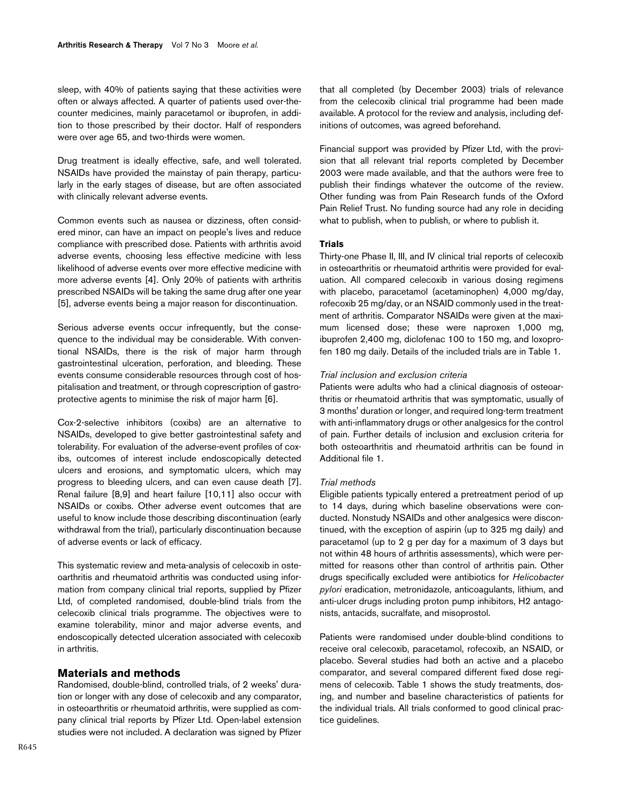sleep, with 40% of patients saying that these activities were often or always affected. A quarter of patients used over-thecounter medicines, mainly paracetamol or ibuprofen, in addition to those prescribed by their doctor. Half of responders were over age 65, and two-thirds were women.

Drug treatment is ideally effective, safe, and well tolerated. NSAIDs have provided the mainstay of pain therapy, particularly in the early stages of disease, but are often associated with clinically relevant adverse events.

Common events such as nausea or dizziness, often considered minor, can have an impact on people's lives and reduce compliance with prescribed dose. Patients with arthritis avoid adverse events, choosing less effective medicine with less likelihood of adverse events over more effective medicine with more adverse events [4]. Only 20% of patients with arthritis prescribed NSAIDs will be taking the same drug after one year [5], adverse events being a major reason for discontinuation.

Serious adverse events occur infrequently, but the consequence to the individual may be considerable. With conventional NSAIDs, there is the risk of major harm through gastrointestinal ulceration, perforation, and bleeding. These events consume considerable resources through cost of hospitalisation and treatment, or through coprescription of gastroprotective agents to minimise the risk of major harm [6].

Cox-2-selective inhibitors (coxibs) are an alternative to NSAIDs, developed to give better gastrointestinal safety and tolerability. For evaluation of the adverse-event profiles of coxibs, outcomes of interest include endoscopically detected ulcers and erosions, and symptomatic ulcers, which may progress to bleeding ulcers, and can even cause death [7]. Renal failure [8,9] and heart failure [10,11] also occur with NSAIDs or coxibs. Other adverse event outcomes that are useful to know include those describing discontinuation (early withdrawal from the trial), particularly discontinuation because of adverse events or lack of efficacy.

This systematic review and meta-analysis of celecoxib in osteoarthritis and rheumatoid arthritis was conducted using information from company clinical trial reports, supplied by Pfizer Ltd, of completed randomised, double-blind trials from the celecoxib clinical trials programme. The objectives were to examine tolerability, minor and major adverse events, and endoscopically detected ulceration associated with celecoxib in arthritis.

# **Materials and methods**

Randomised, double-blind, controlled trials, of 2 weeks' duration or longer with any dose of celecoxib and any comparator, in osteoarthritis or rheumatoid arthritis, were supplied as company clinical trial reports by Pfizer Ltd. Open-label extension studies were not included. A declaration was signed by Pfizer

that all completed (by December 2003) trials of relevance from the celecoxib clinical trial programme had been made available. A protocol for the review and analysis, including definitions of outcomes, was agreed beforehand.

Financial support was provided by Pfizer Ltd, with the provision that all relevant trial reports completed by December 2003 were made available, and that the authors were free to publish their findings whatever the outcome of the review. Other funding was from Pain Research funds of the Oxford Pain Relief Trust. No funding source had any role in deciding what to publish, when to publish, or where to publish it.

# **Trials**

Thirty-one Phase II, III, and IV clinical trial reports of celecoxib in osteoarthritis or rheumatoid arthritis were provided for evaluation. All compared celecoxib in various dosing regimens with placebo, paracetamol (acetaminophen) 4,000 mg/day, rofecoxib 25 mg/day, or an NSAID commonly used in the treatment of arthritis. Comparator NSAIDs were given at the maximum licensed dose; these were naproxen 1,000 mg, ibuprofen 2,400 mg, diclofenac 100 to 150 mg, and loxoprofen 180 mg daily. Details of the included trials are in Table [1.](#page-2-0)

# *Trial inclusion and exclusion criteria*

Patients were adults who had a clinical diagnosis of osteoarthritis or rheumatoid arthritis that was symptomatic, usually of 3 months' duration or longer, and required long-term treatment with anti-inflammatory drugs or other analgesics for the control of pain. Further details of inclusion and exclusion criteria for both osteoarthritis and rheumatoid arthritis can be found in Additional file 1.

### *Trial methods*

Eligible patients typically entered a pretreatment period of up to 14 days, during which baseline observations were conducted. Nonstudy NSAIDs and other analgesics were discontinued, with the exception of aspirin (up to 325 mg daily) and paracetamol (up to 2 g per day for a maximum of 3 days but not within 48 hours of arthritis assessments), which were permitted for reasons other than control of arthritis pain. Other drugs specifically excluded were antibiotics for *Helicobacter pylori* eradication, metronidazole, anticoagulants, lithium, and anti-ulcer drugs including proton pump inhibitors, H2 antagonists, antacids, sucralfate, and misoprostol.

Patients were randomised under double-blind conditions to receive oral celecoxib, paracetamol, rofecoxib, an NSAID, or placebo. Several studies had both an active and a placebo comparator, and several compared different fixed dose regimens of celecoxib. Table [1](#page-2-0) shows the study treatments, dosing, and number and baseline characteristics of patients for the individual trials. All trials conformed to good clinical practice guidelines.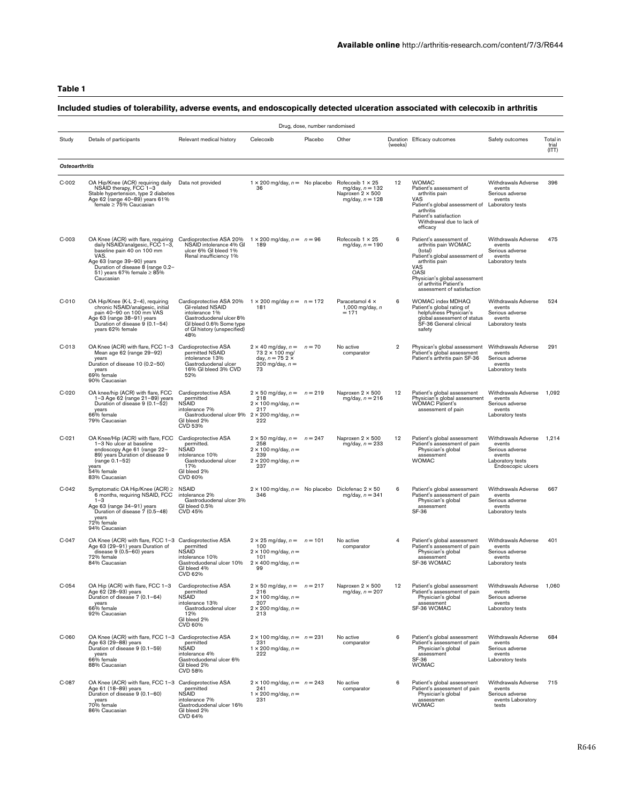# <span id="page-2-0"></span>**Included studies of tolerability, adverse events, and endoscopically detected ulceration associated with celecoxib in arthritis**

| Drug, dose, number randomised |                                                                                                                                                                                                                                 |                                                                                                                                                                                                       |                                                                                                                            |         |                                                            |                |                                                                                                                                                                                                                               |                                                                                                     |                            |  |  |  |
|-------------------------------|---------------------------------------------------------------------------------------------------------------------------------------------------------------------------------------------------------------------------------|-------------------------------------------------------------------------------------------------------------------------------------------------------------------------------------------------------|----------------------------------------------------------------------------------------------------------------------------|---------|------------------------------------------------------------|----------------|-------------------------------------------------------------------------------------------------------------------------------------------------------------------------------------------------------------------------------|-----------------------------------------------------------------------------------------------------|----------------------------|--|--|--|
| Study                         | Details of participants                                                                                                                                                                                                         | Relevant medical history                                                                                                                                                                              | Celecoxib                                                                                                                  | Placebo | Other                                                      | (weeks)        | Duration Efficacy outcomes                                                                                                                                                                                                    | Safety outcomes                                                                                     | Total in<br>trial<br>(ITT) |  |  |  |
| <b>Osteoarthritis</b>         |                                                                                                                                                                                                                                 |                                                                                                                                                                                                       |                                                                                                                            |         |                                                            |                |                                                                                                                                                                                                                               |                                                                                                     |                            |  |  |  |
| $C-002$                       | OA Hip/Knee (ACR) requiring daily<br>NSAID therapy, FCC 1-3<br>Stable hypertension, type 2 diabetes<br>Age 62 (range 40-89) years 61%<br>female ≥ 75% Caucasian                                                                 | Data not provided                                                                                                                                                                                     | $1 \times 200$ mg/day, $n =$ No placebo Rofecoxib $1 \times 25$<br>36                                                      |         | mg/day, $n = 132$<br>Naproxen 2 × 500<br>mg/day, $n = 128$ | 12             | <b>WOMAC</b><br>Patient's assessment of<br>arthritis pain<br>VAS<br>Patient's global assessment of Laboratory tests<br>arthritis<br>Patient's satisfaction<br>Withdrawal due to lack of<br>efficacy                           | <b>Withdrawals Adverse</b><br>events<br>Serious adverse<br>events                                   | 396                        |  |  |  |
| $C-003$                       | OA Knee (ACR) with flare, requiring<br>daily NSAID/analgesic. FCC 1-3.<br>baseline pain 40 on 100 mm<br>VAS.<br>Age 63 (range 39-90) years<br>Duration of disease 8 (range 0.2-<br>51) years 67% female $\geq$ 85%<br>Caucasian | Cardioprotective ASA 20% $1 \times 200$ mg/day, $n = n = 96$<br>NSAID intolerance 4% GI<br>ulcer 6% GI bleed 1%<br>Renal insufficiency 1%                                                             | 189                                                                                                                        |         | Rofecoxib $1 \times 25$<br>mg/day, $n = 190$               | 6              | Patient's assessment of<br>arthritis pain WOMAC<br>(total)<br>Patient's global assessment of<br>arthritis pain<br>VAS<br><b>OASI</b><br>Physician's global assessment<br>of arthritis Patient's<br>assessment of satisfaction | <b>Withdrawals Adverse</b><br>events<br>Serious adverse<br>events<br>Laboratory tests               | 475                        |  |  |  |
| $C-010$                       | OA Hip/Knee (K-L 2-4), requiring<br>chronic NSAID/analgesic, initial<br>pain 40-90 on 100 mm VAS<br>Age 63 (range 38-91) years<br>Duration of disease 9 (0.1-54)<br>years 62% female                                            | Cardioprotective ASA 20% $1 \times 200$ mg/day $n = n = 172$<br><b>GI-related NSAID</b><br>intolerance 1%<br>Gastroduodenal ulcer 8%<br>GI bleed 0.6% Some type<br>of GI history (unspecified)<br>48% | 181                                                                                                                        |         | Paracetamol 4 x<br>1,000 mg/day, n<br>$= 171$              | 6              | WOMAC index MDHAQ<br>Patient's global rating of<br>helpfulness Physician's<br>global assessment of status<br>ŠF-36 General clinical<br>safety                                                                                 | <b>Withdrawals Adverse</b><br>events<br>Serious adverse<br>events<br>Laboratory tests               | 524                        |  |  |  |
| $C-013$                       | OA Knee (ACR) with flare, FCC 1-3 Cardioprotective ASA<br>Mean age 62 (range 29-92)<br>years<br>Duration of disease 10 (0.2-50)<br>years<br>69% female<br>90% Caucasian                                                         | permitted NSAID<br>intolerance 13%<br>Gastroduodenal ulcer<br>16% GI bleed 3% CVD<br>52%                                                                                                              | $2 \times 40$ mg/day, $n =$ $n = 70$<br>73 2 × 100 mg/<br>day, $n = 752 \times$<br>200 mg/day, $n =$<br>73                 |         | No active<br>comparator                                    | $\overline{2}$ | Physican's global assessment  Withdrawals Adverse<br>Patient's global assessment<br>Patient's arthritis pain SF-36                                                                                                            | events<br>Serious adverse<br>events<br>Laboratory tests                                             | 291                        |  |  |  |
| $C-020$                       | OA knee/hip (ACR) with flare, FCC<br>1-3 Age 62 (range 21-89) years<br>Duration of disease 9 (0.1-52)<br>years<br>66% female<br>79% Caucasian                                                                                   | Cardioprotective ASA<br>permitted<br><b>NSAID</b><br>intolerance 7%<br>Gastroduodenal ulcer 9% $2 \times 200$ mg/day, $n =$<br>GI bleed 2%<br>CVD 53%                                                 | $2 \times 50$ mg/day, $n =$ $n = 219$<br>218<br>$2 \times 100$ mg/day, $n =$<br>217<br>222                                 |         | Naproxen 2 × 500<br>mg/day, $n = 216$                      | 12             | Patient's global assessment<br>Physician <sup>T</sup> s global assessment<br><b>WOMAC Patient's</b><br>assessment of pain                                                                                                     | Withdrawals Adverse<br>events<br>Serious adverse<br>events<br>Laboratory tests                      | 1,092                      |  |  |  |
| $C-021$                       | OA Knee/Hip (ACR) with flare, FCC<br>1-3 No ulcer at baseline<br>endoscopy Age 61 (range 22-89) years Duration of disease 9<br>(range 0.1-52)<br>years<br>54% female<br>83% Caucasian                                           | Cardioprotective ASA<br>permitted.<br><b>NSAID</b><br>intolerance 10%<br>Gastroduodenal ulcer<br>17%<br>GI bleed 2%<br>CVD 60%                                                                        | $2 \times 50$ mg/day, $n =$ $n = 247$<br>258<br>$2 \times 100$ mg/day, $n =$<br>239<br>$2 \times 200$ mg/day, $n =$<br>237 |         | Naproxen 2 × 500<br>mg/day, $n = 233$                      | 12             | Patient's global assessment<br>Patient's assessment of pain<br>Physician's global<br>assessment<br><b>WOMAC</b>                                                                                                               | Withdrawals Adverse<br>events<br>Serious adverse<br>events<br>Laboratory tests<br>Endoscopic ulcers | 1,214                      |  |  |  |
| $C-042$                       | Symptomatic OA Hip/Knee (ACR) ≥<br>6 months, requiring NSAID, FCC<br>$1 - 3$<br>Age 63 (range 34-91) years<br>Duration of disease 7 (0.5-48)<br>years<br>72% female<br>94% Caucasian                                            | <b>NSAID</b><br>intolerance 2%<br>Gastroduodenal ulcer 3%<br>GI bleed 0.5%<br>CVD 45%                                                                                                                 | $2 \times 100$ mg/day, $n =$ No placebo Diclofenac $2 \times 50$<br>346                                                    |         | mg/day, $n = 341$                                          | 6              | Patient's global assessment<br>Patient's assessment of pain<br>Physician's global<br>assessment<br>SF-36                                                                                                                      | <b>Withdrawals Adverse</b><br>events<br>Serious adverse<br>events<br>Laboratory tests               | 667                        |  |  |  |
| $C-047$                       | OA Knee (ACR) with flare, FCC 1-3 Cardioprotective ASA<br>Age 63 (29-91) years Duration of<br>disease 9 (0.5-60) years<br>72% female<br>84% Caucasian                                                                           | permitted<br><b>NSAID</b><br>intolerance 10%<br>Gastroduodenal ulcer 10%<br>GI bleed 4%<br>CVD 62%                                                                                                    | $2 \times 25$ mg/day, $n =$ $n = 101$<br>100<br>$2 \times 100$ mg/day, $n =$<br>101<br>$2 \times 400$ mg/day, $n =$<br>99  |         | No active<br>comparator                                    | 4              | Patient's global assessment<br>Patient's assessment of pain<br>Physician's global<br>assessment<br>SF-36 WOMAC                                                                                                                | <b>Withdrawals Adverse</b><br>events<br>Serious adverse<br>events<br>Laboratory tests               | 401                        |  |  |  |
| $C-054$                       | OA Hip (ACR) with flare, FCC 1-3<br>Age 62 (28-93) years<br>Duration of disease 7 (0.1-64)<br>years<br>66% female<br>92% Caucasian                                                                                              | Cardioprotective ASA<br>permitted<br><b>NSAID</b><br>intolerance 13%<br>Gastroduodenal ulcer<br>12%<br>GI bleed 2%<br>CVD 60%                                                                         | $2 \times 50$ mg/day, $n =$ $n = 217$<br>216<br>$2 \times 100$ mg/day, $n =$<br>207<br>$2 \times 200$ mg/day, $n =$<br>213 |         | Naproxen 2 × 500<br>mg/day, $n = 207$                      | 12             | Patient's global assessment<br>Patient's assessment of pain<br>Physician's global<br>assessment<br>SF-36 WOMAC                                                                                                                | Withdrawals Adverse<br>events<br>Serious adverse<br>events<br>Laboratory tests                      | 1,060                      |  |  |  |
| $C-060$                       | OA Knee (ACR) with flare, FCC 1-3 Cardioprotective ASA<br>Age 63 (29-88) years<br>Duration of disease 9 (0.1-59)<br>years<br>66% female<br>88% Caucasian                                                                        | permitted<br><b>NSAID</b><br>intolerance 4%<br>Gastroduodenal ulcer 6%<br>GI bleed 2%<br>CVD 58%                                                                                                      | $2 \times 100$ mg/day, $n =$ $n = 231$<br>231<br>$1 \times 200$ mg/day, $n =$<br>222                                       |         | No active<br>comparator                                    | 6              | Patient's global assessment<br>Patient's assessment of pain<br>Physician's global<br>assessment<br>SF-36<br><b>WOMAC</b>                                                                                                      | <b>Withdrawals Adverse</b><br>events<br>Serious adverse<br>events<br>Laboratory tests               | 684                        |  |  |  |
| $C-087$                       | OA Knee (ACR) with flare, FCC 1-3 Cardioprotective ASA<br>Age 61 (18-89) years<br>Duration of disease 9 (0.1-60)<br>years<br>70% female<br>86% Caucasian                                                                        | permitted<br><b>NSAID</b><br>intolerance 7%<br>Gastroduodenal ulcer 16%<br>GI bleed 2%<br>CVD 64%                                                                                                     | $2 \times 100$ mg/day, $n = n = 243$<br>241<br>$1 \times 200$ mg/day, $n =$<br>231                                         |         | No active<br>comparator                                    | 6              | Patient's global assessment<br>Patient's assessment of pain<br>Physician's global<br>assessmen<br><b>WOMAC</b>                                                                                                                | <b>Withdrawals Adverse</b><br>events<br>Serious adverse<br>events Laboratory<br>tests               | 715                        |  |  |  |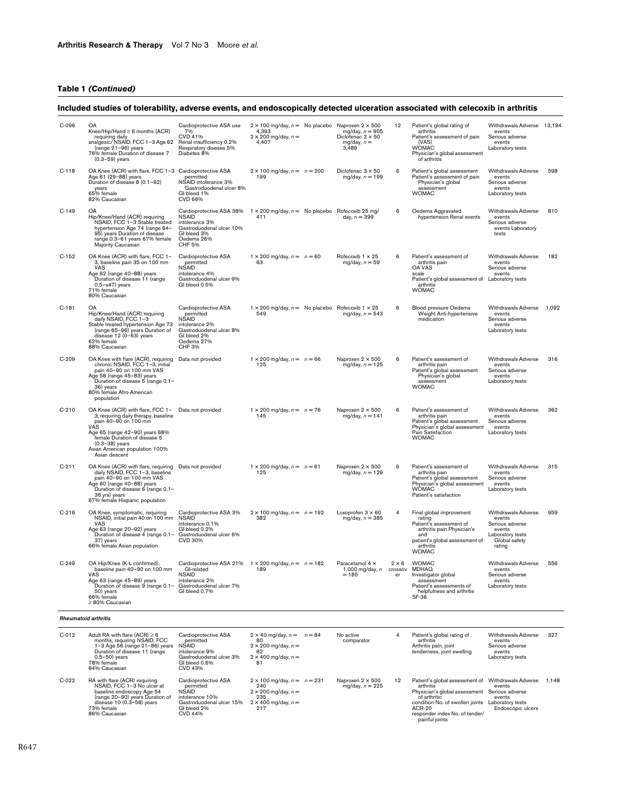# **Table 1** *(Continued)*

# **Included studies of tolerability, adverse events, and endoscopically detected ulceration associated with celecoxib in arthritis**

| C-096                       | OA<br>Knee/Hip/Hand ≥ 6 months (ACR)<br>requiring daily<br>analgesic/NSAID, FCC 1-3 Age 62<br>$(range 21-96) years$<br>76% female Duration of disease 7<br>(0.3-59) years                                                                          | Cardioprotective ASA use<br>7%<br>CVD 41%<br>Renal insufficiency 0.2%<br>Respiratory disease 5%<br>Diabetes 8%                                            | $2 \times 100$ mg/day, $n =$ No placebo Naproxen $2 \times 500$<br>4,393<br>$2 \times 200$ mg/day, $n =$<br>4,407           | mg/day, $n = 905$<br>Diclofenac $2 \times 50$<br>mg/day, $n =$<br>3,489 | 12             | Patient's global rating of<br>arthritis<br>Patient's assessment of pain<br>(VAS)<br><b>WOMAC</b><br>Physician's global assessment<br>of arthritis                                             | Withdrawals Adverse 13,194<br>events<br>Serious adverse<br>events<br>Laboratory tests                     |       |
|-----------------------------|----------------------------------------------------------------------------------------------------------------------------------------------------------------------------------------------------------------------------------------------------|-----------------------------------------------------------------------------------------------------------------------------------------------------------|-----------------------------------------------------------------------------------------------------------------------------|-------------------------------------------------------------------------|----------------|-----------------------------------------------------------------------------------------------------------------------------------------------------------------------------------------------|-----------------------------------------------------------------------------------------------------------|-------|
| $C-118$                     | OA Knee (ACR) with flare, FCC 1-3 Cardioprotective ASA<br>Age 61 (29-88) years<br>Duration of disease 8 (0.1-62)<br>years<br>65% female<br>82% Caucasian                                                                                           | permitted<br>NSAID intolerance 3%<br>Gastroduodenal ulcer 8%<br>GI bleed 1%<br>CVD 66%                                                                    | $2 \times 100$ mg/day, $n =$ $n = 200$<br>199                                                                               | Diclofenac $3 \times 50$<br>mg/day, $n = 199$                           | 6              | Patient's global assessment<br>Patient's assessment of pain<br>Physician's global<br>assessment<br><b>WOMAC</b>                                                                               | Withdrawals Adverse<br>events<br>Serious adverse<br>events<br>Laboratory tests                            | 598   |
| $C-149$                     | OA<br>Hip/Knee/Hand (ACR) requiring<br>NSAID, FCC 1-3 Stable treated<br>hypertension Age 74 (range 64-<br>95) years Duration of disease<br>range 0.3-61 years 67% female<br>Majority Caucasian                                                     | Cardioprotective ASA 38%<br><b>NSAID</b><br>intolerance 3%<br>Gastroduodenal ulcer 10%<br>GI bleed 3%<br>Oedema 26%<br>CHF 5%                             | $1 \times 200$ mg/day, $n =$ No placebo Rofecoxib 25 mg/<br>411                                                             | day, $n = 399$                                                          | 6              | Oedema Aggravated<br>hypertension Renal events                                                                                                                                                | Withdrawals Adverse<br>events<br>Serious adverse<br>events Laboratory<br>tests                            | 810   |
| $C-152$                     | OA Knee (ACR) with flare, FCC 1-<br>3, baseline pain 35 on 100 mm<br>VAS<br>Age 62 (range 40-88) years<br>Duration of disease 11 (range<br>$0.5 - s47$ ) years<br>71% female<br>80% Caucasian                                                      | Cardioprotective ASA<br>permitted<br><b>NSAID</b><br>intolerance 4%<br>Gastroduodenal ulcer 9%<br>GI bleed 0.5%                                           | $1 \times 200$ mg/day, $n = n = 60$<br>63                                                                                   | Rofecoxib $1 \times 25$<br>mg/day, $n = 59$                             | 6              | Patient's assessment of<br>arthritis pain<br>OA VAS<br>scale<br>Patient's global assessment of Laboratory tests<br>arthritis<br><b>WOMAC</b>                                                  | Withdrawals Adverse<br>events<br>Serious adverse<br>events                                                | 182   |
| $C-181$                     | OA<br>Hip/Knee/Hand (ACR) requiring<br>daily NSAID, FCC 1-3<br>Stable treated hypertension Age 73<br>(range 65-96) years Duration of<br>disease 12 (0-63) years<br>62% female<br>88% Caucasian                                                     | Cardioprotective ASA<br>permitted<br><b>NSAID</b><br>intolerance 2%<br>Gastroduodenal ulcer 8%<br>GI bleed 2%<br>Oedema 27%<br><b>CHF 3%</b>              | $1 \times 200$ mg/day, $n =$ No placebo Rofecoxib $1 \times 25$<br>549                                                      | mg/day, $n = 543$                                                       | 6              | Blood pressure Oedema<br>Weight Anti-hypertensive<br>medication                                                                                                                               | Withdrawals Adverse<br>events<br>Serious adverse<br>events<br>Laboratory tests                            | 1,092 |
| $C-209$                     | OA Knee with flare (ACR), requiring<br>chronic NSAID, FCC 1-3, initial<br>pain 40-90 on 100 mm VAS<br>Age 58 (range 45-83) years<br>Duration of disease 5 (range 0.1-<br>36) years<br>80% female Afro-American<br>population                       | Data not provided                                                                                                                                         | $1 \times 200$ mg/day, $n = n = 66$<br>125                                                                                  | Naproxen $2 \times 500$<br>mg/day, $n = 125$                            | 6              | Patient's assessment of<br>arthritis pain<br>Patient's global assessment<br>Physician's global<br>assessment<br><b>WOMAC</b>                                                                  | Withdrawals Adverse<br>events<br>Serious adverse<br>events<br>Laboratory tests                            | 316   |
| $C-210$                     | OA Knee (ACR) with flare, FCC 1-<br>3, requiring daily therapy, baseline<br>pain 40-90 on 100 mm<br>VAS<br>Age 65 (range 42-90) years 68%<br>female Duration of disease 5<br>$(0.3 - 38)$ years<br>Asian American population 100%<br>Asian descent | Data not provided                                                                                                                                         | $1 \times 200$ mg/day, $n = n = 76$<br>145                                                                                  | Naproxen 2 × 500<br>mg/day, $n = 141$                                   | 6              | Patient's assessment of<br>arthritis pain<br>Patient's global assessment<br>Physician's global assessment<br>Pain Satisfaction<br><b>WOMAC</b>                                                | Withdrawals Adverse<br>events<br>Serious adverse<br>events<br>Laboratory tests                            | 362   |
| $C-211$                     | OA Knee (ACR) with flare, requiring Data not provided<br>daily NSAID, FCC 1-3, baseline<br>pain 40-90 on 100 mm VAS<br>Age 60 (range 40-88) years<br>Duration of disease 6 (range 0.1-<br>36 yrs) years<br>67% female Hispanic population          |                                                                                                                                                           | $1 \times 200$ mg/day, $n = n = 61$<br>125                                                                                  | Naproxen $2 \times 500$<br>mg/day, $n = 129$                            | 6              | Patient's assessment of<br>arthritis pain<br>Patient's global assessment<br>Physician's global assessment<br><b>WOMAC</b><br>Patient's satisfaction                                           | Withdrawals Adverse<br>events<br>Serious adverse<br>events<br>Laboratory tests                            | 315   |
| $C-216$                     | OA Knee, symptomatic, requiring<br>NSAID, initial pain 40 on 100 mm<br>VAS<br>Age 63 (range 20-92) years<br>Duration of disease 4 (range 0.1-<br>37) years<br>66% female Asian population                                                          | Cardioprotective ASA 3%<br><b>NSAID</b><br>intolerance 0.1%<br>GI bleed 0.2%<br>Gastroduodenal ulcer 6%<br>CVD 30%                                        | $2 \times 100$ mg/day, $n =$ $n = 192$<br>382                                                                               | Loxoprofen $3 \times 60$<br>mg/day, $n = 385$                           | $\overline{4}$ | Final global improvement<br>rating<br>Patient's assessment of<br>arthritis pain Physician's<br>and<br>patient's global assessment of<br>arthritis<br><b>WOMAC</b>                             | Withdrawals Adverse<br>events<br>Serious adverse<br>events<br>Laboratory tests<br>Global safety<br>rating | 959   |
| $C-249$                     | OA Hip/Knee (K-L confirmed),<br>baseline pain 40-90 on 100 mm<br>VAS<br>Age 63 (range 45-89) years<br>Duration of disease 9 (range 0.1-<br>50) years<br>66% female<br>≥ 80% Caucasian                                                              | Cardioprotective ASA 21% $1 \times 200$ mg/day, $n = n = 182$<br>GI-related<br><b>NSAID</b><br>intolerance 2%<br>Gastroduodenal ulcer 7%<br>GI bleed 0.7% | 189                                                                                                                         | Paracetamol 4 x<br>1,000 mg/day, n crossov MDHAQ<br>$= 185$             | er             | $2 \times 6$ WOMAC<br>Investigator global<br>assessment<br>Patient's assessments of<br>helpfulness and arthritis<br>SF-36                                                                     | Withdrawals Adverse<br>events<br>Serious adverse<br>events<br>Laboratory tests                            | 556   |
| <b>Rheumatoid arthritis</b> |                                                                                                                                                                                                                                                    |                                                                                                                                                           |                                                                                                                             |                                                                         |                |                                                                                                                                                                                               |                                                                                                           |       |
| $C-012$                     | Adult RA with flare $(ACR) \ge 6$<br>months, requiring NSAID, FCC<br>1-3 Age 56 (range 21-86) years<br>Duration of disease 11 (range<br>$0.5 - 50$ ) years<br>78% female<br>84% Caucasian                                                          | Cardioprotective ASA<br>permitted<br><b>NSAID</b><br>intolerance 9%<br>Gastroduodenal ulcer 3%<br>GI bleed 0.6%<br>CVD 43%                                | $2 \times 40$ mg/day, $n =$ $n = 84$<br>80<br>$2 \times 200$ mg/day, $n =$<br>82<br>$2 \times 400$ mg/day, $n =$<br>81      | No active<br>comparator                                                 | 4              | Patient's global rating of<br>arthritis<br>Arthritis pain, joint<br>tenderness, joint swelling                                                                                                | Withdrawals Adverse<br>events<br>Serious adverse<br>events<br>Laboratory tests                            | 327   |
| $C-022$                     | RA with flare (ACR) requiring<br>NSAID, FCC 1-3 No ulcer at<br>baseline endoscopy Age 54<br>(range 20-90) years Duration of<br>disease 10 (0.3-58) years<br>73% female<br>86% Caucasian                                                            | Cardioprotective ASA<br>permitted<br><b>NSAID</b><br>intolerance 10%<br>Gastroduodenal ulcer 15%<br>GI bleed 2%<br>CVD 44%                                | $2 \times 100$ mg/day, $n =$ $n = 231$<br>240<br>$2 \times 200$ mg/day, $n =$<br>235<br>$2 \times 400$ mg/day, $n =$<br>217 | Naproxen 2 × 500<br>mg/day, $n = 225$                                   | 12             | Patient's global assessment of<br>arthritis<br>Physician's global assessment<br>of arthritic<br>condition No. of swollen joints<br>ACR-20<br>responder index No. of tender/<br>painful joints | Withdrawals Adverse<br>events<br>Serious adverse<br>events<br>Laboratory tests<br>Endoscopic ulcers       | 1,148 |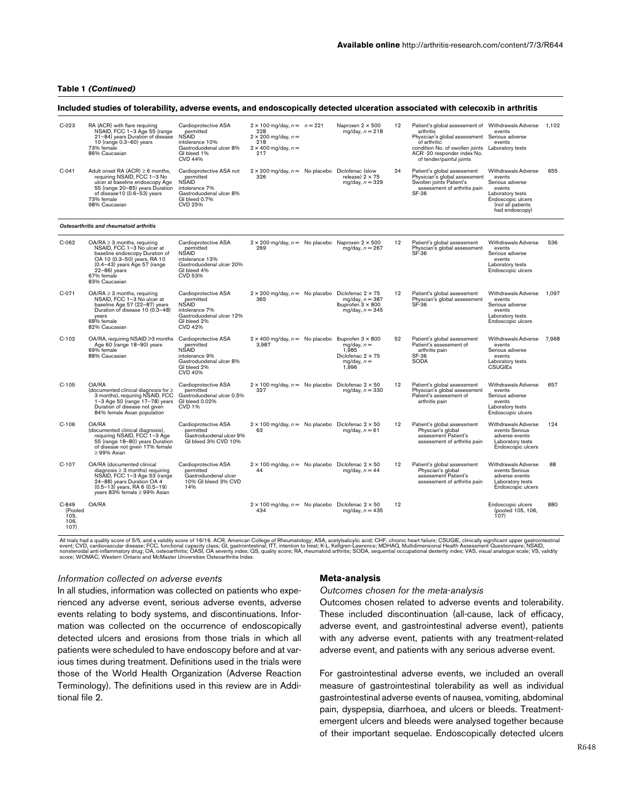### **Table 1** *(Continued)*

#### **Included studies of tolerability, adverse events, and endoscopically detected ulceration associated with celecoxib in arthritis**

| $C-023$ | RA (ACR) with flare requiring<br>NSAID, FCC 1-3 Age 55 (range<br>21-84) years Duration of disease<br>10 (range 0.3-60) years<br>73% female<br>86% Caucasian                                                | Cardioprotective ASA<br>permitted<br><b>NSAID</b><br>intolerance 10%<br>Gastroduodenal ulcer 8%<br>GI bleed 1%<br>CVD 44%      | $2 \times 100$ mg/day, $n =$ $n = 221$<br>228<br>$2 \times 200$ mg/day, $n =$<br>218<br>$2 \times 400$ mg/day, $n =$<br>217 | Naproxen $2 \times 500$<br>mg/day, $n = 218$                    | 12 | Patient's global assessment of<br>arthritis<br>Physician's global assessment<br>of arthritic<br>condition No. of swollen joints<br>ACR -20 responder index No.<br>of tender/painful joints | Withdrawals Adverse<br>events<br>Serious adverse<br>events<br>Laboratory tests                                                                    | 1.102 |
|---------|------------------------------------------------------------------------------------------------------------------------------------------------------------------------------------------------------------|--------------------------------------------------------------------------------------------------------------------------------|-----------------------------------------------------------------------------------------------------------------------------|-----------------------------------------------------------------|----|--------------------------------------------------------------------------------------------------------------------------------------------------------------------------------------------|---------------------------------------------------------------------------------------------------------------------------------------------------|-------|
| $C-041$ | Adult onset RA (ACR) $\geq 6$ months,<br>requiring NSAID, FCC 1-3 No<br>ulcer at baseline endoscopy Age<br>55 (range 20-85) years Duration<br>of disease10 $(0.6-53)$ years<br>73% female<br>98% Caucasian | Cardioprotective ASA not<br>permitted<br><b>NSAID</b><br>intolerance 7%<br>Gastroduodenal ulcer 8%<br>GI bleed 0.7%<br>CVD 25% | $2 \times 200$ mg/day, $n =$ No placebo<br>326                                                                              | Diclofenac (slow<br>release) $2 \times 75$<br>mg/day, $n = 329$ | 24 | Patient's global assessment<br>Physician's global assessment<br>Swollen joints Patient's<br>assessment of arthritis pain<br>SF-36                                                          | <b>Withdrawals Adverse</b><br>events<br>Serious adverse<br>events<br>Laboratory tests<br>Endoscopic ulcers<br>(not all patients<br>had endoscopy) | 655   |
|         | Osteoarthritis and rheumatoid arthritis                                                                                                                                                                    |                                                                                                                                |                                                                                                                             |                                                                 |    |                                                                                                                                                                                            |                                                                                                                                                   |       |
| $C-062$ | $OA/RA \geq 3$ months, requiring<br>NSAID, FCC 1-3 No ulcer at<br>baseline endoscopy Duration of<br>OA 10 (0.3-50) years, RA 10<br>$(0.4-43)$ years Age 57 (range<br>22-86) years                          | Cardioprotective ASA<br>permitted<br><b>NSAID</b><br>intolerance 13%<br>Gastroduodenal ulcer 20%<br>GI bleed 4%                | $2 \times 200$ mg/day, $n =$<br>269                                                                                         | No placebo Naproxen $2 \times 500$<br>mg/day, $n = 267$         | 12 | Patient's global assessment<br>Physcian's global assessment<br>SF-36                                                                                                                       | <b>Withdrawals Adverse</b><br>events<br>Serious adverse<br>events<br>Laboratory tests<br>Endoscopic ulcers                                        | 536   |

|                                            | 22 July 19410<br>67% female<br>83% Caucasian                                                                                                                                                           | --------<br>CVD 53%                                                                                                       |                                                                           |                                                                              |    |                                                                                                          | =…===============                                                                                          |       |
|--------------------------------------------|--------------------------------------------------------------------------------------------------------------------------------------------------------------------------------------------------------|---------------------------------------------------------------------------------------------------------------------------|---------------------------------------------------------------------------|------------------------------------------------------------------------------|----|----------------------------------------------------------------------------------------------------------|------------------------------------------------------------------------------------------------------------|-------|
| $C-071$                                    | $OA/RA \geq 3$ months, requiring<br>NSAID. FCC 1-3 No ulcer at<br>baseline Age 57 (22-87) years<br>Duration of disease 10 (0.3-48)<br>years<br>68% female<br>82% Caucasian                             | Cardioprotective ASA<br>permitted<br><b>NSAID</b><br>intolerance 7%<br>Gastroduodenal ulcer 12%<br>GI bleed 2%<br>CVD 42% | $2 \times 200$ mg/day, $n =$ No placebo Diclofenac $2 \times 75$<br>365   | mg/day, $n = 387$<br>Ibuprofen $3 \times 800$<br>mg/day, $n = 345$           | 12 | Patient's global assessment<br>Physcian's global assessment<br>$SF-36$                                   | Withdrawals Adverse<br>events<br>Serious adverse<br>events<br>Laboratory tests<br>Endoscopic ulcers        | 1.097 |
| $C-102$                                    | OA/RA, requiring NSAID >3 months<br>Age 60 (range 18-90) years<br>69% female<br>88% Caucasian                                                                                                          | Cardioprotective ASA<br>permitted<br><b>NSAID</b><br>intolerance 9%<br>Gastroduodenal ulcer 8%<br>GI bleed 2%<br>CVD 40%  | $2 \times 400$ mg/day, $n =$ No placebo Ibuprofen $3 \times 800$<br>3.987 | mg/day, $n =$<br>1.985<br>Diclofenac $2 \times 75$<br>mg/day, $n =$<br>1.996 | 52 | Patient's global assessment<br>Patient's assessment of<br>arthritis pain<br>SF-36<br><b>SODA</b>         | <b>Withdrawals Adverse</b><br>events<br>Serious adverse<br>events<br>Laboratory tests<br><b>CSUGIEs</b>    | 7.968 |
| $C-105$                                    | OA/RA<br>(documented clinical diagnosis for ≥<br>3 months), requiring NSAID, FCC<br>1-3 Age 50 (range 17-78) years<br>Duration of disease not given<br>84% female Asian population                     | Cardioprotective ASA<br>permitted<br>Gastroduodenal ulcer 0.5%<br>GI bleed 0.02%<br><b>CVD 1%</b>                         | $2 \times 100$ mg/day, $n =$ No placebo Diclofenac $2 \times 50$<br>327   | mg/day, $n = 330$                                                            | 12 | Patient's global assessment<br>Physcian's global assessment<br>Patient's assessment of<br>arthritis pain | <b>Withdrawals Adverse</b><br>events<br>Serious adverse<br>events<br>Laboratory tests<br>Endoscopic ulcers | 657   |
| $C-106$                                    | OA/RA<br>(documented clinical diagnosis),<br>requiring NSAID, FCC 1-3 Age<br>55 (range 18-80) years Duration<br>of disease not given 17% female<br>$\geq$ 99% Asian                                    | Cardioprotective ASA<br>permitted<br>Gastroduodenal ulcer 9%<br>GI bleed 3% CVD 10%                                       | $2 \times 100$ mg/day, $n =$ No placebo Diclofenac $2 \times 50$<br>63    | mg/day, $n = 61$                                                             | 12 | Patient's global assessment<br>Physcian's global<br>assessment Patient's<br>assessment of arthritis pain | <b>Withdrawals Adverse</b><br>events Serious<br>adverse events<br>Laboratory tests<br>Endoscopic ulcers    | 124   |
| $C-107$                                    | OA/RA (documented clinical<br>$diagnostic \geq 3$ months) requiring<br>NSAID, FCC 1-3 Age 53 (range<br>24-88) years Duration OA 4<br>$(0.5-13)$ years, RA 6 $(0.5-19)$<br>years 83% female ≥ 99% Asian | Cardioprotective ASA<br>permitted<br>Gastroduodenal ulcer<br>10% GI bleed 3% CVD<br>14%                                   | $2 \times 100$ mg/day, $n =$ No placebo Diclofenac $2 \times 50$<br>44    | mg/day, $n = 44$                                                             | 12 | Patient's global assessment<br>Physcian's global<br>assessment Patient's<br>assessment of arthritis pain | <b>Withdrawals Adverse</b><br>events Serious<br>adverse events<br>Laboratory tests<br>Endoscopic ulcers    | 88    |
| $C-849$<br>(Pooled<br>105.<br>106.<br>107) | OA/RA                                                                                                                                                                                                  |                                                                                                                           | $2 \times 100$ mg/day, $n =$ No placebo Diclofenac $2 \times 50$<br>434   | mg/day, $n = 435$                                                            | 12 |                                                                                                          | Endoscopic ulcers<br>(pooled 105, 106,<br>107)                                                             | 880   |

All trials had a quality score of 5/5, and a validity score of 16/16. ACR, American College of Rheumatology; ASA, acetylsalicylic acid; CHF, chronic heart failure; CSUGIE, clinically significant upper gastrointestinal<br>even

# *Information collected on adverse events*

In all studies, information was collected on patients who experienced any adverse event, serious adverse events, adverse events relating to body systems, and discontinuations. Information was collected on the occurrence of endoscopically detected ulcers and erosions from those trials in which all patients were scheduled to have endoscopy before and at various times during treatment. Definitions used in the trials were those of the World Health Organization (Adverse Reaction Terminology). The definitions used in this review are in Additional file 2.

# **Meta-analysis**

#### *Outcomes chosen for the meta-analysis*

Outcomes chosen related to adverse events and tolerability. These included discontinuation (all-cause, lack of efficacy, adverse event, and gastrointestinal adverse event), patients with any adverse event, patients with any treatment-related adverse event, and patients with any serious adverse event.

For gastrointestinal adverse events, we included an overall measure of gastrointestinal tolerability as well as individual gastrointestinal adverse events of nausea, vomiting, abdominal pain, dyspepsia, diarrhoea, and ulcers or bleeds. Treatmentemergent ulcers and bleeds were analysed together because of their important sequelae. Endoscopically detected ulcers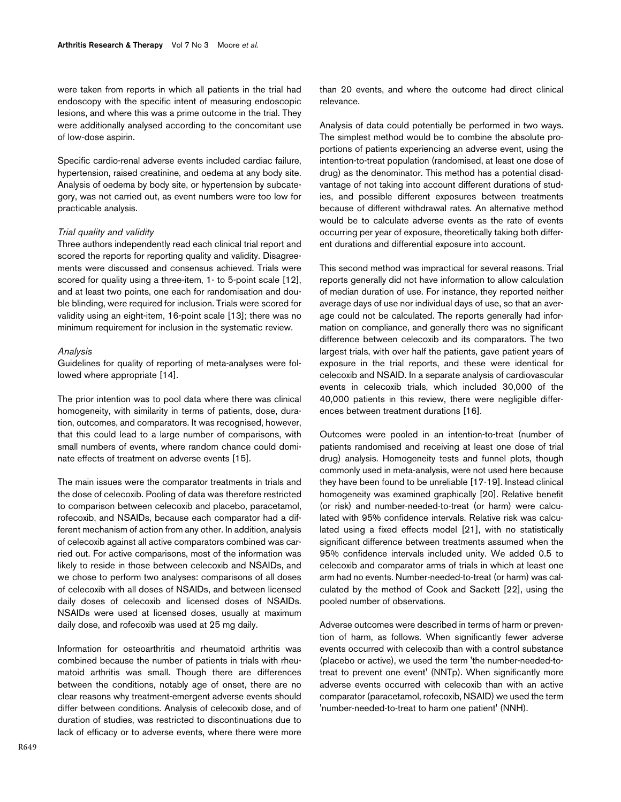were taken from reports in which all patients in the trial had endoscopy with the specific intent of measuring endoscopic lesions, and where this was a prime outcome in the trial. They were additionally analysed according to the concomitant use of low-dose aspirin.

Specific cardio-renal adverse events included cardiac failure, hypertension, raised creatinine, and oedema at any body site. Analysis of oedema by body site, or hypertension by subcategory, was not carried out, as event numbers were too low for practicable analysis.

# *Trial quality and validity*

Three authors independently read each clinical trial report and scored the reports for reporting quality and validity. Disagreements were discussed and consensus achieved. Trials were scored for quality using a three-item, 1- to 5-point scale [12], and at least two points, one each for randomisation and double blinding, were required for inclusion. Trials were scored for validity using an eight-item, 16-point scale [13]; there was no minimum requirement for inclusion in the systematic review.

### *Analysis*

Guidelines for quality of reporting of meta-analyses were followed where appropriate [14].

The prior intention was to pool data where there was clinical homogeneity, with similarity in terms of patients, dose, duration, outcomes, and comparators. It was recognised, however, that this could lead to a large number of comparisons, with small numbers of events, where random chance could dominate effects of treatment on adverse events [15].

The main issues were the comparator treatments in trials and the dose of celecoxib. Pooling of data was therefore restricted to comparison between celecoxib and placebo, paracetamol, rofecoxib, and NSAIDs, because each comparator had a different mechanism of action from any other. In addition, analysis of celecoxib against all active comparators combined was carried out. For active comparisons, most of the information was likely to reside in those between celecoxib and NSAIDs, and we chose to perform two analyses: comparisons of all doses of celecoxib with all doses of NSAIDs, and between licensed daily doses of celecoxib and licensed doses of NSAIDs. NSAIDs were used at licensed doses, usually at maximum daily dose, and rofecoxib was used at 25 mg daily.

Information for osteoarthritis and rheumatoid arthritis was combined because the number of patients in trials with rheumatoid arthritis was small. Though there are differences between the conditions, notably age of onset, there are no clear reasons why treatment-emergent adverse events should differ between conditions. Analysis of celecoxib dose, and of duration of studies, was restricted to discontinuations due to lack of efficacy or to adverse events, where there were more

than 20 events, and where the outcome had direct clinical relevance.

Analysis of data could potentially be performed in two ways. The simplest method would be to combine the absolute proportions of patients experiencing an adverse event, using the intention-to-treat population (randomised, at least one dose of drug) as the denominator. This method has a potential disadvantage of not taking into account different durations of studies, and possible different exposures between treatments because of different withdrawal rates. An alternative method would be to calculate adverse events as the rate of events occurring per year of exposure, theoretically taking both different durations and differential exposure into account.

This second method was impractical for several reasons. Trial reports generally did not have information to allow calculation of median duration of use. For instance, they reported neither average days of use nor individual days of use, so that an average could not be calculated. The reports generally had information on compliance, and generally there was no significant difference between celecoxib and its comparators. The two largest trials, with over half the patients, gave patient years of exposure in the trial reports, and these were identical for celecoxib and NSAID. In a separate analysis of cardiovascular events in celecoxib trials, which included 30,000 of the 40,000 patients in this review, there were negligible differences between treatment durations [16].

Outcomes were pooled in an intention-to-treat (number of patients randomised and receiving at least one dose of trial drug) analysis. Homogeneity tests and funnel plots, though commonly used in meta-analysis, were not used here because they have been found to be unreliable [17-19]. Instead clinical homogeneity was examined graphically [20]. Relative benefit (or risk) and number-needed-to-treat (or harm) were calculated with 95% confidence intervals. Relative risk was calculated using a fixed effects model [21], with no statistically significant difference between treatments assumed when the 95% confidence intervals included unity. We added 0.5 to celecoxib and comparator arms of trials in which at least one arm had no events. Number-needed-to-treat (or harm) was calculated by the method of Cook and Sackett [22], using the pooled number of observations.

Adverse outcomes were described in terms of harm or prevention of harm, as follows. When significantly fewer adverse events occurred with celecoxib than with a control substance (placebo or active), we used the term 'the number-needed-totreat to prevent one event' (NNTp). When significantly more adverse events occurred with celecoxib than with an active comparator (paracetamol, rofecoxib, NSAID) we used the term 'number-needed-to-treat to harm one patient' (NNH).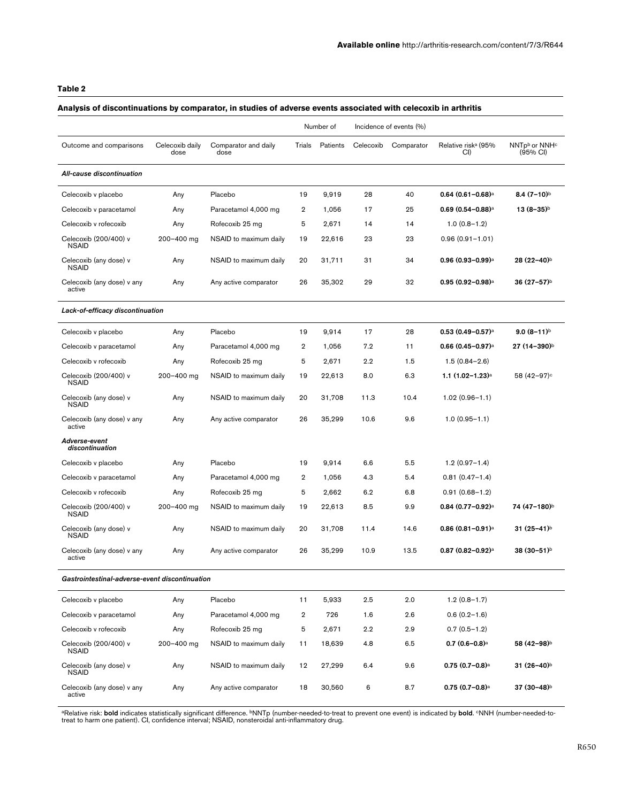# <span id="page-6-0"></span>**Analysis of discontinuations by comparator, in studies of adverse events associated with celecoxib in arthritis**

|                                                |                         |                              | Number of      |          | Incidence of events (%) |            |                                        |                                       |
|------------------------------------------------|-------------------------|------------------------------|----------------|----------|-------------------------|------------|----------------------------------------|---------------------------------------|
| Outcome and comparisons                        | Celecoxib daily<br>dose | Comparator and daily<br>dose | Trials         | Patients | Celecoxib               | Comparator | Relative risk <sup>a</sup> (95%<br>CI) | NNTpb or NNH <sup>c</sup><br>(95% CI) |
| All-cause discontinuation                      |                         |                              |                |          |                         |            |                                        |                                       |
| Celecoxib v placebo                            | Any                     | Placebo                      | 19             | 9,919    | 28                      | 40         | $0.64(0.61 - 0.68)$ <sup>a</sup>       | $8.4(7-10)$ b                         |
| Celecoxib v paracetamol                        | Any                     | Paracetamol 4,000 mg         | 2              | 1,056    | 17                      | 25         | $0.69(0.54 - 0.88)^a$                  | 13 $(8-35)$ b                         |
| Celecoxib v rofecoxib                          | Any                     | Rofecoxib 25 mg              | 5              | 2,671    | 14                      | 14         | $1.0(0.8-1.2)$                         |                                       |
| Celecoxib (200/400) v<br><b>NSAID</b>          | 200-400 mg              | NSAID to maximum daily       | 19             | 22,616   | 23                      | 23         | $0.96(0.91 - 1.01)$                    |                                       |
| Celecoxib (any dose) v<br><b>NSAID</b>         | Any                     | NSAID to maximum daily       | 20             | 31,711   | 31                      | 34         | $0.96(0.93 - 0.99)^a$                  | 28 (22-40)b                           |
| Celecoxib (any dose) v any<br>active           | Any                     | Any active comparator        | 26             | 35,302   | 29                      | 32         | $0.95(0.92 - 0.98)^a$                  | 36 $(27-57)$ <sup>b</sup>             |
| Lack-of-efficacy discontinuation               |                         |                              |                |          |                         |            |                                        |                                       |
| Celecoxib v placebo                            | Any                     | Placebo                      | 19             | 9,914    | 17                      | 28         | $0.53(0.49 - 0.57)^a$                  | $9.0(8-11)$ b                         |
| Celecoxib v paracetamol                        | Any                     | Paracetamol 4,000 mg         | 2              | 1,056    | 7.2                     | 11         | $0.66$ $(0.45 - 0.97)^a$               | 27 (14-390) <sup>b</sup>              |
| Celecoxib v rofecoxib                          | Any                     | Rofecoxib 25 mg              | 5              | 2,671    | 2.2                     | 1.5        | $1.5(0.84 - 2.6)$                      |                                       |
| Celecoxib (200/400) v<br><b>NSAID</b>          | 200-400 mg              | NSAID to maximum daily       | 19             | 22,613   | 8.0                     | 6.3        | 1.1 $(1.02 - 1.23)^a$                  | 58 $(42-97)$ c                        |
| Celecoxib (any dose) v<br><b>NSAID</b>         | Any                     | NSAID to maximum daily       | 20             | 31,708   | 11.3                    | 10.4       | $1.02(0.96 - 1.1)$                     |                                       |
| Celecoxib (any dose) v any<br>active           | Any                     | Any active comparator        | 26             | 35,299   | 10.6                    | 9.6        | $1.0(0.95 - 1.1)$                      |                                       |
| Adverse-event<br>discontinuation               |                         |                              |                |          |                         |            |                                        |                                       |
| Celecoxib v placebo                            | Any                     | Placebo                      | 19             | 9,914    | 6.6                     | 5.5        | $1.2(0.97 - 1.4)$                      |                                       |
| Celecoxib v paracetamol                        | Any                     | Paracetamol 4,000 mg         | 2              | 1,056    | 4.3                     | 5.4        | $0.81(0.47 - 1.4)$                     |                                       |
| Celecoxib v rofecoxib                          | Any                     | Rofecoxib 25 mg              | 5              | 2,662    | 6.2                     | 6.8        | $0.91(0.68 - 1.2)$                     |                                       |
| Celecoxib (200/400) v<br><b>NSAID</b>          | 200-400 mg              | NSAID to maximum daily       | 19             | 22,613   | 8.5                     | 9.9        | $0.84$ (0.77-0.92) <sup>a</sup>        | 74 (47-180)b                          |
| Celecoxib (any dose) v<br><b>NSAID</b>         | Any                     | NSAID to maximum daily       | 20             | 31,708   | 11.4                    | 14.6       | $0.86(0.81 - 0.91)^a$                  | 31 $(25-41)^{b}$                      |
| Celecoxib (any dose) v any<br>active           | Any                     | Any active comparator        | 26             | 35,299   | 10.9                    | 13.5       | $0.87$ (0.82-0.92) <sup>a</sup>        | 38 $(30-51)$ b                        |
| Gastrointestinal-adverse-event discontinuation |                         |                              |                |          |                         |            |                                        |                                       |
| Celecoxib v placebo                            | Any                     | Placebo                      | 11             | 5,933    | 2.5                     | 2.0        | $1.2(0.8-1.7)$                         |                                       |
| Celecoxib v paracetamol                        | Any                     | Paracetamol 4,000 mg         | $\overline{2}$ | 726      | 1.6                     | 2.6        | $0.6(0.2 - 1.6)$                       |                                       |
| Celecoxib v rofecoxib                          | Any                     | Rofecoxib 25 mg              | 5              | 2,671    | 2.2                     | 2.9        | $0.7(0.5-1.2)$                         |                                       |
| Celecoxib (200/400) v<br><b>NSAID</b>          | 200-400 mg              | NSAID to maximum daily       | 11             | 18,639   | 4.8                     | 6.5        | $0.7(0.6-0.8)$ a                       | 58 (42-98)b                           |
| Celecoxib (any dose) v<br><b>NSAID</b>         | Any                     | NSAID to maximum daily       | 12             | 27,299   | 6.4                     | 9.6        | $0.75(0.7-0.8)$ <sup>a</sup>           | 31 $(26-40)$ b                        |
| Celecoxib (any dose) v any<br>active           | Any                     | Any active comparator        | 18             | 30,560   | 6                       | 8.7        | $0.75(0.7-0.8)$ <sup>a</sup>           | 37 $(30-48)$ b                        |

ªRelative risk: **bold** indicates statistically significant difference. <sup>b</sup>NNTp (number-needed-to-treat to prevent one event) is indicated by **bold**. <sup>c</sup>NNH (number-needed-to-<br>treat to harm one patient). CI, confidence inte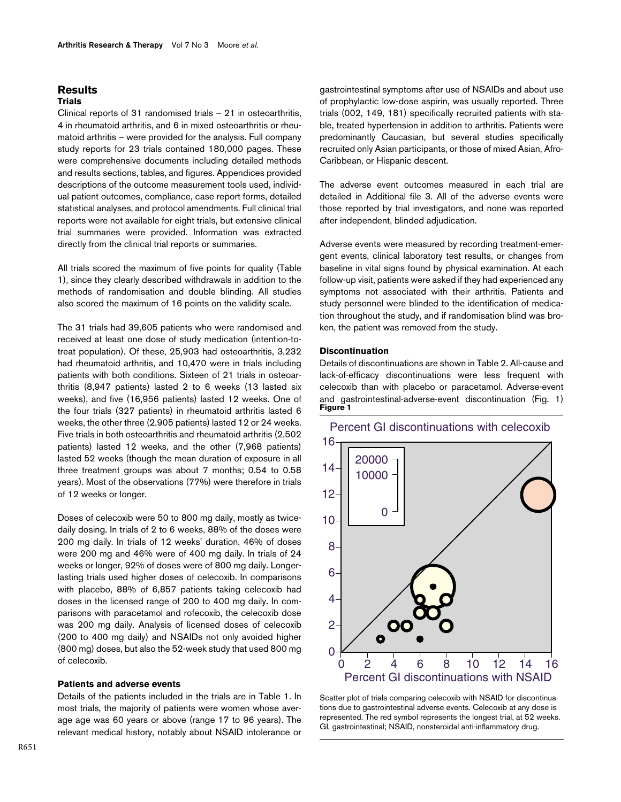# **Results**

**Trials**

Clinical reports of 31 randomised trials – 21 in osteoarthritis, 4 in rheumatoid arthritis, and 6 in mixed osteoarthritis or rheumatoid arthritis – were provided for the analysis. Full company study reports for 23 trials contained 180,000 pages. These were comprehensive documents including detailed methods and results sections, tables, and figures. Appendices provided descriptions of the outcome measurement tools used, individual patient outcomes, compliance, case report forms, detailed statistical analyses, and protocol amendments. Full clinical trial reports were not available for eight trials, but extensive clinical trial summaries were provided. Information was extracted directly from the clinical trial reports or summaries.

All trials scored the maximum of five points for quality (Table [1](#page-2-0)), since they clearly described withdrawals in addition to the methods of randomisation and double blinding. All studies also scored the maximum of 16 points on the validity scale.

The 31 trials had 39,605 patients who were randomised and received at least one dose of study medication (intention-totreat population). Of these, 25,903 had osteoarthritis, 3,232 had rheumatoid arthritis, and 10,470 were in trials including patients with both conditions. Sixteen of 21 trials in osteoarthritis (8,947 patients) lasted 2 to 6 weeks (13 lasted six weeks), and five (16,956 patients) lasted 12 weeks. One of the four trials (327 patients) in rheumatoid arthritis lasted 6 weeks, the other three (2,905 patients) lasted 12 or 24 weeks. Five trials in both osteoarthritis and rheumatoid arthritis (2,502 patients) lasted 12 weeks, and the other (7,968 patients) lasted 52 weeks (though the mean duration of exposure in all three treatment groups was about 7 months; 0.54 to 0.58 years). Most of the observations (77%) were therefore in trials of 12 weeks or longer.

Doses of celecoxib were 50 to 800 mg daily, mostly as twicedaily dosing. In trials of 2 to 6 weeks, 88% of the doses were 200 mg daily. In trials of 12 weeks' duration, 46% of doses were 200 mg and 46% were of 400 mg daily. In trials of 24 weeks or longer, 92% of doses were of 800 mg daily. Longerlasting trials used higher doses of celecoxib. In comparisons with placebo, 88% of 6,857 patients taking celecoxib had doses in the licensed range of 200 to 400 mg daily. In comparisons with paracetamol and rofecoxib, the celecoxib dose was 200 mg daily. Analysis of licensed doses of celecoxib (200 to 400 mg daily) and NSAIDs not only avoided higher (800 mg) doses, but also the 52-week study that used 800 mg of celecoxib.

### **Patients and adverse events**

Details of the patients included in the trials are in Table [1](#page-2-0). In most trials, the majority of patients were women whose average age was 60 years or above (range 17 to 96 years). The relevant medical history, notably about NSAID intolerance or

gastrointestinal symptoms after use of NSAIDs and about use of prophylactic low-dose aspirin, was usually reported. Three trials (002, 149, 181) specifically recruited patients with stable, treated hypertension in addition to arthritis. Patients were predominantly Caucasian, but several studies specifically recruited only Asian participants, or those of mixed Asian, Afro-Caribbean, or Hispanic descent.

The adverse event outcomes measured in each trial are detailed in Additional file 3. All of the adverse events were those reported by trial investigators, and none was reported after independent, blinded adjudication.

Adverse events were measured by recording treatment-emergent events, clinical laboratory test results, or changes from baseline in vital signs found by physical examination. At each follow-up visit, patients were asked if they had experienced any symptoms not associated with their arthritis. Patients and study personnel were blinded to the identification of medication throughout the study, and if randomisation blind was broken, the patient was removed from the study.

# **Discontinuation**

Details of discontinuations are shown in Table [2](#page-6-0). All-cause and lack-of-efficacy discontinuations were less frequent with celecoxib than with placebo or paracetamol. Adverse-event and gastrointestinal-adverse-event discontinuation (Fig. 1) **Figure 1**



Scatter plot of trials comparing celecoxib with NSAID for discontinuations due to gastrointestinal adverse events. Celecoxib at any dose is represented. The red symbol represents the longest trial, at 52 weeks. GI, gastrointestinal; NSAID, nonsteroidal anti-inflammatory drug.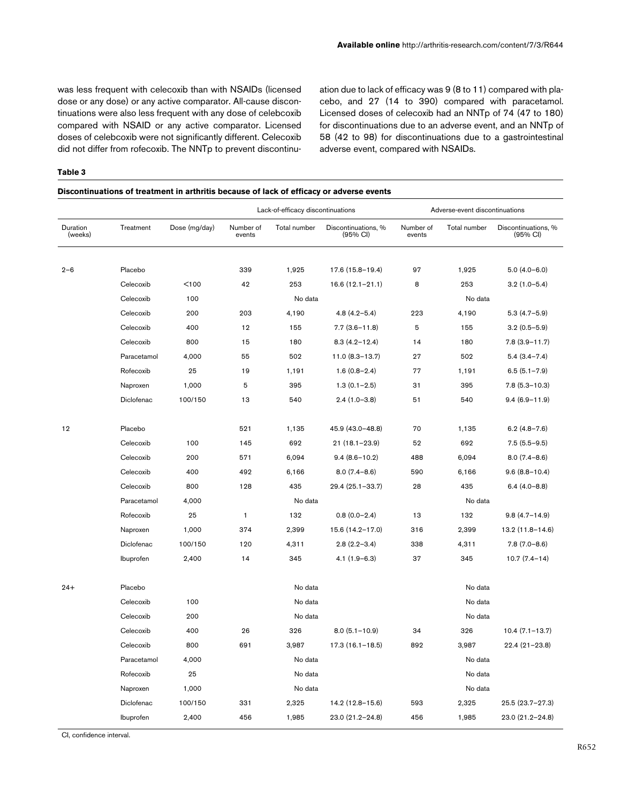was less frequent with celecoxib than with NSAIDs (licensed dose or any dose) or any active comparator. All-cause discontinuations were also less frequent with any dose of celebcoxib compared with NSAID or any active comparator. Licensed doses of celebcoxib were not significantly different. Celecoxib did not differ from rofecoxib. The NNTp to prevent discontinuation due to lack of efficacy was 9 (8 to 11) compared with placebo, and 27 (14 to 390) compared with paracetamol. Licensed doses of celecoxib had an NNTp of 74 (47 to 180) for discontinuations due to an adverse event, and an NNTp of 58 (42 to 98) for discontinuations due to a gastrointestinal adverse event, compared with NSAIDs.

<span id="page-8-0"></span>**Table 3**

# **Discontinuations of treatment in arthritis because of lack of efficacy or adverse events**

|                     |             |               | Lack-of-efficacy discontinuations |              | Adverse-event discontinuations  |                     |              |                                 |
|---------------------|-------------|---------------|-----------------------------------|--------------|---------------------------------|---------------------|--------------|---------------------------------|
| Duration<br>(weeks) | Treatment   | Dose (mg/day) | Number of<br>events               | Total number | Discontinuations, %<br>(95% CI) | Number of<br>events | Total number | Discontinuations, %<br>(95% CI) |
|                     |             |               |                                   |              |                                 |                     |              |                                 |
| $2 - 6$             | Placebo     |               | 339                               | 1,925        | 17.6 (15.8-19.4)                | 97                  | 1,925        | $5.0(4.0 - 6.0)$                |
|                     | Celecoxib   | < 100         | 42                                | 253          | $16.6(12.1-21.1)$               | 8                   | 253          | $3.2(1.0-5.4)$                  |
|                     | Celecoxib   | 100           |                                   | No data      |                                 |                     | No data      |                                 |
|                     | Celecoxib   | 200           | 203                               | 4,190        | $4.8(4.2 - 5.4)$                | 223                 | 4,190        | $5.3(4.7-5.9)$                  |
|                     | Celecoxib   | 400           | 12                                | 155          | $7.7(3.6 - 11.8)$               | 5                   | 155          | $3.2(0.5 - 5.9)$                |
|                     | Celecoxib   | 800           | 15                                | 180          | $8.3(4.2 - 12.4)$               | 14                  | 180          | $7.8(3.9 - 11.7)$               |
|                     | Paracetamol | 4,000         | 55                                | 502          | $11.0 (8.3 - 13.7)$             | 27                  | 502          | $5.4(3.4 - 7.4)$                |
|                     | Rofecoxib   | 25            | 19                                | 1,191        | $1.6(0.8-2.4)$                  | 77                  | 1,191        | $6.5(5.1 - 7.9)$                |
|                     | Naproxen    | 1,000         | 5                                 | 395          | $1.3(0.1 - 2.5)$                | 31                  | 395          | $7.8(5.3 - 10.3)$               |
|                     | Diclofenac  | 100/150       | 13                                | 540          | $2.4(1.0-3.8)$                  | 51                  | 540          | $9.4(6.9 - 11.9)$               |
| 12                  | Placebo     |               | 521                               | 1,135        | 45.9 (43.0-48.8)                | 70                  | 1,135        | $6.2(4.8-7.6)$                  |
|                     | Celecoxib   | 100           | 145                               | 692          | $21(18.1 - 23.9)$               | 52                  | 692          | $7.5(5.5-9.5)$                  |
|                     | Celecoxib   | 200           | 571                               | 6,094        | $9.4(8.6 - 10.2)$               | 488                 | 6,094        | $8.0(7.4 - 8.6)$                |
|                     | Celecoxib   | 400           | 492                               | 6,166        | $8.0(7.4 - 8.6)$                | 590                 | 6,166        | $9.6(8.8 - 10.4)$               |
|                     | Celecoxib   | 800           | 128                               | 435          | 29.4 (25.1-33.7)                | 28                  | 435          | $6.4(4.0 - 8.8)$                |
|                     | Paracetamol | 4,000         |                                   | No data      |                                 |                     | No data      |                                 |
|                     | Rofecoxib   | 25            | $\mathbf{1}$                      | 132          | $0.8(0.0-2.4)$                  | 13                  | 132          | $9.8(4.7 - 14.9)$               |
|                     | Naproxen    | 1,000         | 374                               | 2,399        | 15.6 (14.2-17.0)                | 316                 | 2,399        | 13.2 (11.8–14.6)                |
|                     | Diclofenac  | 100/150       | 120                               | 4,311        | $2.8(2.2 - 3.4)$                | 338                 | 4,311        | $7.8(7.0 - 8.6)$                |
|                     | Ibuprofen   | 2,400         | 14                                | 345          | $4.1(1.9-6.3)$                  | 37                  | 345          | $10.7(7.4-14)$                  |
| $24+$               | Placebo     |               |                                   | No data      |                                 |                     | No data      |                                 |
|                     | Celecoxib   | 100           |                                   | No data      |                                 |                     | No data      |                                 |
|                     | Celecoxib   | 200           |                                   | No data      |                                 |                     | No data      |                                 |
|                     | Celecoxib   | 400           | 26                                | 326          | $8.0(5.1 - 10.9)$               | 34                  | 326          | $10.4(7.1 - 13.7)$              |
|                     | Celecoxib   | 800           | 691                               | 3,987        | $17.3(16.1 - 18.5)$             | 892                 | 3,987        | $22.4(21-23.8)$                 |
|                     | Paracetamol | 4,000         |                                   | No data      |                                 |                     | No data      |                                 |
|                     | Rofecoxib   | 25            |                                   | No data      |                                 |                     | No data      |                                 |
|                     | Naproxen    | 1,000         |                                   | No data      |                                 |                     | No data      |                                 |
|                     | Diclofenac  | 100/150       | 331                               | 2,325        | 14.2 (12.8-15.6)                | 593                 | 2,325        | 25.5 (23.7-27.3)                |
|                     | Ibuprofen   | 2,400         | 456                               | 1,985        | 23.0 (21.2-24.8)                | 456                 | 1,985        | 23.0 (21.2-24.8)                |

CI, confidence interval.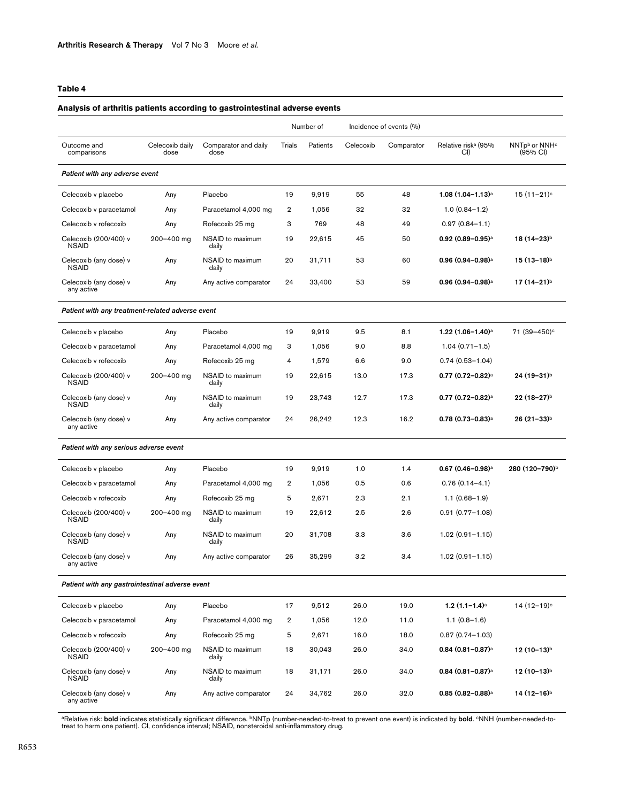# <span id="page-9-0"></span>**Analysis of arthritis patients according to gastrointestinal adverse events**

|                                                  |                         |                              |                | Number of |           | Incidence of events (%) |                                        |                                                 |
|--------------------------------------------------|-------------------------|------------------------------|----------------|-----------|-----------|-------------------------|----------------------------------------|-------------------------------------------------|
| Outcome and<br>comparisons                       | Celecoxib daily<br>dose | Comparator and daily<br>dose | Trials         | Patients  | Celecoxib | Comparator              | Relative risk <sup>a</sup> (95%<br>CI) | NNTpb or NNH <sup>c</sup><br>$(95% \text{ Cl})$ |
| Patient with any adverse event                   |                         |                              |                |           |           |                         |                                        |                                                 |
| Celecoxib v placebo                              | Any                     | Placebo                      | 19             | 9,919     | 55        | 48                      | $1.08(1.04 - 1.13)a$                   | $15(11-21)$ c                                   |
| Celecoxib v paracetamol                          | Any                     | Paracetamol 4,000 mg         | 2              | 1,056     | 32        | 32                      | $1.0(0.84-1.2)$                        |                                                 |
| Celecoxib v rofecoxib                            | Any                     | Rofecoxib 25 mg              | З              | 769       | 48        | 49                      | $0.97(0.84 - 1.1)$                     |                                                 |
| Celecoxib (200/400) v<br><b>NSAID</b>            | 200-400 mg              | NSAID to maximum<br>daily    | 19             | 22,615    | 45        | 50                      | $0.92(0.89 - 0.95)$ <sup>a</sup>       | 18 (14-23)b                                     |
| Celecoxib (any dose) v<br><b>NSAID</b>           | Any                     | NSAID to maximum<br>daily    | 20             | 31,711    | 53        | 60                      | $0.96(0.94 - 0.98)^a$                  | $15(13-18)$ <sup>b</sup>                        |
| Celecoxib (any dose) v<br>any active             | Any                     | Any active comparator        | 24             | 33,400    | 53        | 59                      | $0.96(0.94 - 0.98)^a$                  | 17 $(14-21)^{b}$                                |
| Patient with any treatment-related adverse event |                         |                              |                |           |           |                         |                                        |                                                 |
| Celecoxib v placebo                              | Any                     | Placebo                      | 19             | 9,919     | 9.5       | 8.1                     | 1.22 $(1.06 - 1.40)$ <sup>a</sup>      | 71 (39-450) <sup>c</sup>                        |
| Celecoxib v paracetamol                          | Any                     | Paracetamol 4,000 mg         | 3              | 1,056     | 9.0       | 8.8                     | $1.04(0.71 - 1.5)$                     |                                                 |
| Celecoxib v rofecoxib                            | Any                     | Rofecoxib 25 mg              | 4              | 1,579     | 6.6       | 9.0                     | $0.74(0.53 - 1.04)$                    |                                                 |
| Celecoxib (200/400) v<br><b>NSAID</b>            | 200-400 mg              | NSAID to maximum<br>daily    | 19             | 22,615    | 13.0      | 17.3                    | $0.77(0.72 - 0.82)^a$                  | $24(19-31)^{b}$                                 |
| Celecoxib (any dose) v<br><b>NSAID</b>           | Any                     | NSAID to maximum<br>daily    | 19             | 23,743    | 12.7      | 17.3                    | $0.77(0.72 - 0.82)^a$                  | $22(18-27)$                                     |
| Celecoxib (any dose) v<br>any active             | Any                     | Any active comparator        | 24             | 26,242    | 12.3      | 16.2                    | $0.78(0.73 - 0.83)^a$                  | $26(21-33)^{b}$                                 |
| Patient with any serious adverse event           |                         |                              |                |           |           |                         |                                        |                                                 |
| Celecoxib v placebo                              | Any                     | Placebo                      | 19             | 9,919     | 1.0       | 1.4                     | $0.67(0.46 - 0.98)^a$                  | 280 (120-790)b                                  |
| Celecoxib v paracetamol                          | Any                     | Paracetamol 4,000 mg         | $\overline{2}$ | 1,056     | 0.5       | 0.6                     | $0.76(0.14-4.1)$                       |                                                 |
| Celecoxib v rofecoxib                            | Any                     | Rofecoxib 25 mg              | 5              | 2,671     | 2.3       | 2.1                     | $1.1(0.68 - 1.9)$                      |                                                 |
| Celecoxib (200/400) v<br><b>NSAID</b>            | 200-400 mg              | NSAID to maximum<br>daily    | 19             | 22,612    | 2.5       | 2.6                     | $0.91(0.77 - 1.08)$                    |                                                 |
| Celecoxib (any dose) v<br><b>NSAID</b>           | Any                     | NSAID to maximum<br>daily    | 20             | 31,708    | 3.3       | 3.6                     | $1.02(0.91 - 1.15)$                    |                                                 |
| Celecoxib (any dose) v<br>any active             | Any                     | Any active comparator        | 26             | 35,299    | 3.2       | 3.4                     | $1.02(0.91 - 1.15)$                    |                                                 |
| Patient with any gastrointestinal adverse event  |                         |                              |                |           |           |                         |                                        |                                                 |
| Celecoxib v placebo                              | Any                     | Placebo                      | 17             | 9,512     | 26.0      | 19.0                    | 1.2 $(1.1-1.4)$ <sup>a</sup>           | $14(12-19)$ c                                   |
| Celecoxib v paracetamol                          | Any                     | Paracetamol 4,000 mg         | $\overline{2}$ | 1,056     | 12.0      | 11.0                    | $1.1(0.8-1.6)$                         |                                                 |
| Celecoxib v rofecoxib                            | Any                     | Rofecoxib 25 mg              | 5              | 2,671     | 16.0      | 18.0                    | $0.87(0.74 - 1.03)$                    |                                                 |
| Celecoxib (200/400) v<br><b>NSAID</b>            | 200-400 mg              | NSAID to maximum<br>daily    | 18             | 30,043    | 26.0      | 34.0                    | $0.84(0.81 - 0.87)^a$                  | 12 (10-13)b                                     |
| Celecoxib (any dose) v<br><b>NSAID</b>           | Any                     | NSAID to maximum<br>daily    | 18             | 31,171    | 26.0      | 34.0                    | $0.84$ (0.81-0.87) <sup>a</sup>        | 12 $(10-13)^{b}$                                |
| Celecoxib (any dose) v<br>any active             | Any                     | Any active comparator        | 24             | 34,762    | 26.0      | 32.0                    | $0.85(0.82 - 0.88)$ a                  | 14 (12-16)b                                     |

ªRelative risk: **bold** indicates statistically significant difference. <sup>b</sup>NNTp (number-needed-to-treat to prevent one event) is indicated by **bold**. <sup>c</sup>NNH (number-needed-to-<br>treat to harm one patient). CI, confidence inte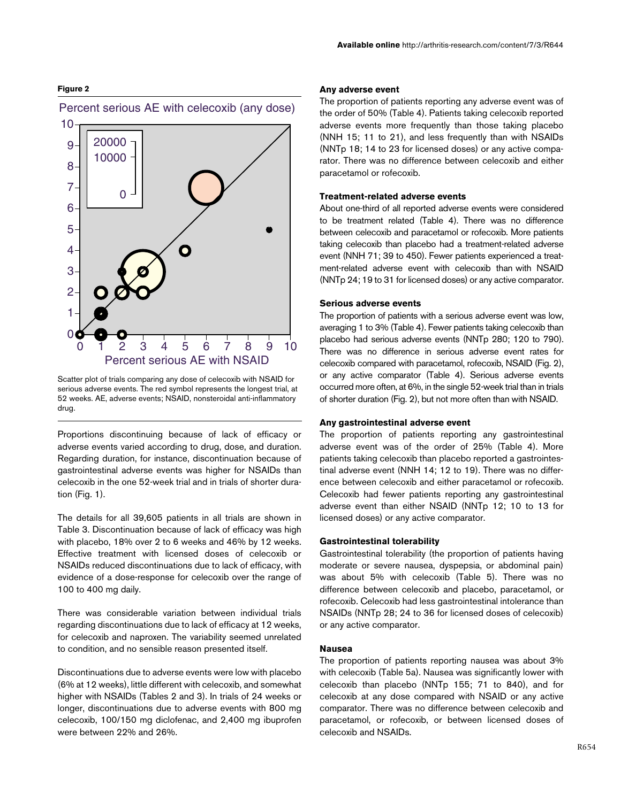# **Figure 2**

Percent serious AE with celecoxib (any dose)



Scatter plot of trials comparing any dose of celecoxib with NSAID for serious adverse events. The red symbol represents the longest trial, at 52 weeks. AE, adverse events; NSAID, nonsteroidal anti-inflammatory drug.

Proportions discontinuing because of lack of efficacy or adverse events varied according to drug, dose, and duration. Regarding duration, for instance, discontinuation because of gastrointestinal adverse events was higher for NSAIDs than celecoxib in the one 52-week trial and in trials of shorter duration (Fig. 1).

The details for all 39,605 patients in all trials are shown in Table [3](#page-8-0). Discontinuation because of lack of efficacy was high with placebo, 18% over 2 to 6 weeks and 46% by 12 weeks. Effective treatment with licensed doses of celecoxib or NSAIDs reduced discontinuations due to lack of efficacy, with evidence of a dose-response for celecoxib over the range of 100 to 400 mg daily.

There was considerable variation between individual trials regarding discontinuations due to lack of efficacy at 12 weeks, for celecoxib and naproxen. The variability seemed unrelated to condition, and no sensible reason presented itself.

Discontinuations due to adverse events were low with placebo (6% at 12 weeks), little different with celecoxib, and somewhat higher with NSAIDs (Tables [2](#page-6-0) and [3\)](#page-8-0). In trials of 24 weeks or longer, discontinuations due to adverse events with 800 mg celecoxib, 100/150 mg diclofenac, and 2,400 mg ibuprofen were between 22% and 26%.

#### **Any adverse event**

The proportion of patients reporting any adverse event was of the order of 50% (Table [4\)](#page-9-0). Patients taking celecoxib reported adverse events more frequently than those taking placebo (NNH 15; 11 to 21), and less frequently than with NSAIDs (NNTp 18; 14 to 23 for licensed doses) or any active comparator. There was no difference between celecoxib and either paracetamol or rofecoxib.

### **Treatment-related adverse events**

About one-third of all reported adverse events were considered to be treatment related (Table [4](#page-9-0)). There was no difference between celecoxib and paracetamol or rofecoxib. More patients taking celecoxib than placebo had a treatment-related adverse event (NNH 71; 39 to 450). Fewer patients experienced a treatment-related adverse event with celecoxib than with NSAID (NNTp 24; 19 to 31 for licensed doses) or any active comparator.

### **Serious adverse events**

The proportion of patients with a serious adverse event was low, averaging 1 to 3% (Table [4\)](#page-9-0). Fewer patients taking celecoxib than placebo had serious adverse events (NNTp 280; 120 to 790). There was no difference in serious adverse event rates for celecoxib compared with paracetamol, rofecoxib, NSAID (Fig. 2), or any active comparator (Table [4\)](#page-9-0). Serious adverse events occurred more often, at 6%, in the single 52-week trial than in trials of shorter duration (Fig. 2), but not more often than with NSAID.

# **Any gastrointestinal adverse event**

The proportion of patients reporting any gastrointestinal adverse event was of the order of 25% (Table [4](#page-9-0)). More patients taking celecoxib than placebo reported a gastrointestinal adverse event (NNH 14; 12 to 19). There was no difference between celecoxib and either paracetamol or rofecoxib. Celecoxib had fewer patients reporting any gastrointestinal adverse event than either NSAID (NNTp 12; 10 to 13 for licensed doses) or any active comparator.

#### **Gastrointestinal tolerability**

Gastrointestinal tolerability (the proportion of patients having moderate or severe nausea, dyspepsia, or abdominal pain) was about 5% with celecoxib (Table [5](#page-11-0)). There was no difference between celecoxib and placebo, paracetamol, or rofecoxib. Celecoxib had less gastrointestinal intolerance than NSAIDs (NNTp 28; 24 to 36 for licensed doses of celecoxib) or any active comparator.

# **Nausea**

The proportion of patients reporting nausea was about 3% with celecoxib (Table [5](#page-11-0)a). Nausea was significantly lower with celecoxib than placebo (NNTp 155; 71 to 840), and for celecoxib at any dose compared with NSAID or any active comparator. There was no difference between celecoxib and paracetamol, or rofecoxib, or between licensed doses of celecoxib and NSAIDs.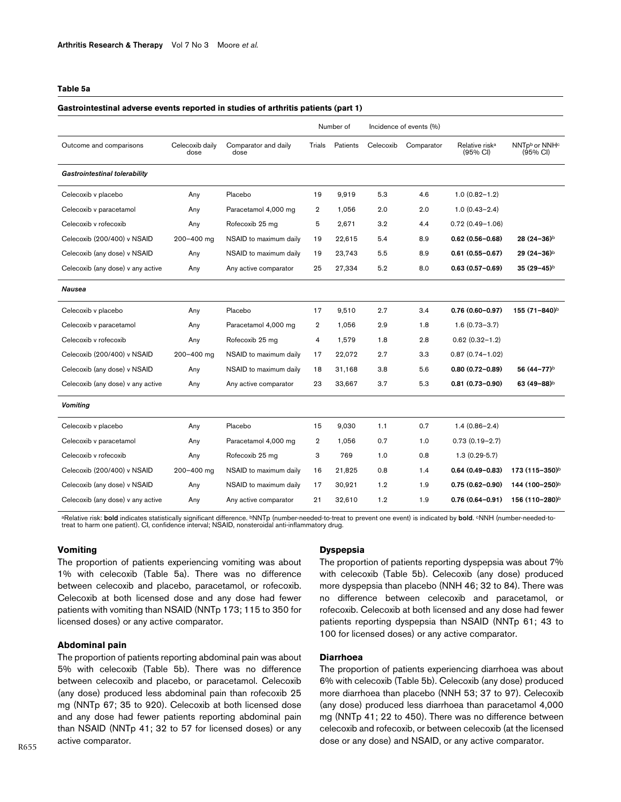#### <span id="page-11-0"></span>**Table 5a**

#### **Gastrointestinal adverse events reported in studies of arthritis patients (part 1)**

|                                   |                         |                              | Number of      |          | Incidence of events (%) |            |                                        |                                                 |
|-----------------------------------|-------------------------|------------------------------|----------------|----------|-------------------------|------------|----------------------------------------|-------------------------------------------------|
| Outcome and comparisons           | Celecoxib daily<br>dose | Comparator and daily<br>dose | Trials         | Patients | Celecoxib               | Comparator | Relative risk <sup>a</sup><br>(95% CI) | NNTpb or NNH <sup>c</sup><br>$(95% \text{ Cl})$ |
| Gastrointestinal tolerability     |                         |                              |                |          |                         |            |                                        |                                                 |
| Celecoxib v placebo               | Any                     | Placebo                      | 19             | 9,919    | 5.3                     | 4.6        | $1.0(0.82 - 1.2)$                      |                                                 |
| Celecoxib v paracetamol           | Any                     | Paracetamol 4,000 mg         | $\overline{2}$ | 1.056    | 2.0                     | 2.0        | $1.0(0.43 - 2.4)$                      |                                                 |
| Celecoxib v rofecoxib             | Any                     | Rofecoxib 25 mg              | 5              | 2.671    | 3.2                     | 4.4        | $0.72(0.49 - 1.06)$                    |                                                 |
| Celecoxib (200/400) v NSAID       | 200-400 mg              | NSAID to maximum daily       | 19             | 22,615   | 5.4                     | 8.9        | $0.62(0.56 - 0.68)$                    | 28 (24-36)b                                     |
| Celecoxib (any dose) v NSAID      | Any                     | NSAID to maximum daily       | 19             | 23,743   | 5.5                     | 8.9        | $0.61(0.55 - 0.67)$                    | $29(24-36)$ b                                   |
| Celecoxib (any dose) v any active | Any                     | Any active comparator        | 25             | 27,334   | 5.2                     | 8.0        | $0.63(0.57-0.69)$                      | 35 $(29-45)^{b}$                                |
| <b>Nausea</b>                     |                         |                              |                |          |                         |            |                                        |                                                 |
| Celecoxib v placebo               | Any                     | Placebo                      | 17             | 9,510    | 2.7                     | 3.4        | $0.76(0.60 - 0.97)$                    | 155 (71-840) <sup>b</sup>                       |
| Celecoxib v paracetamol           | Any                     | Paracetamol 4,000 mg         | $\overline{2}$ | 1,056    | 2.9                     | 1.8        | $1.6(0.73 - 3.7)$                      |                                                 |
| Celecoxib v rofecoxib             | Any                     | Rofecoxib 25 mg              | 4              | 1,579    | 1.8                     | 2.8        | $0.62(0.32 - 1.2)$                     |                                                 |
| Celecoxib (200/400) v NSAID       | 200-400 mg              | NSAID to maximum daily       | 17             | 22,072   | 2.7                     | 3.3        | $0.87(0.74 - 1.02)$                    |                                                 |
| Celecoxib (any dose) v NSAID      | Any                     | NSAID to maximum daily       | 18             | 31,168   | 3.8                     | 5.6        | $0.80(0.72 - 0.89)$                    | 56 (44-77)b                                     |
| Celecoxib (any dose) v any active | Any                     | Any active comparator        | 23             | 33,667   | 3.7                     | 5.3        | $0.81(0.73 - 0.90)$                    | 63 (49-88)b                                     |
| Vomiting                          |                         |                              |                |          |                         |            |                                        |                                                 |
| Celecoxib v placebo               | Any                     | Placebo                      | 15             | 9,030    | 1.1                     | 0.7        | $1.4(0.86 - 2.4)$                      |                                                 |
| Celecoxib v paracetamol           | Any                     | Paracetamol 4,000 mg         | $\overline{2}$ | 1,056    | 0.7                     | 1.0        | $0.73(0.19 - 2.7)$                     |                                                 |
| Celecoxib v rofecoxib             | Any                     | Rofecoxib 25 mg              | 3              | 769      | 1.0                     | 0.8        | $1.3(0.29-5.7)$                        |                                                 |
| Celecoxib (200/400) v NSAID       | 200-400 mg              | NSAID to maximum daily       | 16             | 21,825   | 0.8                     | 1.4        | $0.64(0.49 - 0.83)$                    | 173 (115-350) <sup>b</sup>                      |
| Celecoxib (any dose) v NSAID      | Any                     | NSAID to maximum daily       | 17             | 30,921   | 1.2                     | 1.9        | $0.75(0.62 - 0.90)$                    | 144 (100-250) <sup>b</sup>                      |
| Celecoxib (any dose) v any active | Any                     | Any active comparator        | 21             | 32,610   | 1.2                     | 1.9        | $0.76(0.64 - 0.91)$                    | 156 (110-280)b                                  |

aRelative risk: bold indicates statistically significant difference. <sup>b</sup>NNTp (number-needed-to-treat to prevent one event) is indicated by bold. <sup>c</sup>NNH (number-needed-totreat to harm one patient). CI, confidence interval; NSAID, nonsteroidal anti-inflammatory drug.

#### **Vomiting**

The proportion of patients experiencing vomiting was about 1% with celecoxib (Table [5a](#page-11-0)). There was no difference between celecoxib and placebo, paracetamol, or rofecoxib. Celecoxib at both licensed dose and any dose had fewer patients with vomiting than NSAID (NNTp 173; 115 to 350 for licensed doses) or any active comparator.

# **Abdominal pain**

The proportion of patients reporting abdominal pain was about 5% with celecoxib (Table 5b). There was no difference between celecoxib and placebo, or paracetamol. Celecoxib (any dose) produced less abdominal pain than rofecoxib 25 mg (NNTp 67; 35 to 920). Celecoxib at both licensed dose and any dose had fewer patients reporting abdominal pain than NSAID (NNTp 41; 32 to 57 for licensed doses) or any active comparator.

### **Dyspepsia**

The proportion of patients reporting dyspepsia was about 7% with celecoxib (Table 5b). Celecoxib (any dose) produced more dyspepsia than placebo (NNH 46; 32 to 84). There was no difference between celecoxib and paracetamol, or rofecoxib. Celecoxib at both licensed and any dose had fewer patients reporting dyspepsia than NSAID (NNTp 61; 43 to 100 for licensed doses) or any active comparator.

#### **Diarrhoea**

The proportion of patients experiencing diarrhoea was about 6% with celecoxib (Table 5b). Celecoxib (any dose) produced more diarrhoea than placebo (NNH 53; 37 to 97). Celecoxib (any dose) produced less diarrhoea than paracetamol 4,000 mg (NNTp 41; 22 to 450). There was no difference between celecoxib and rofecoxib, or between celecoxib (at the licensed dose or any dose) and NSAID, or any active comparator.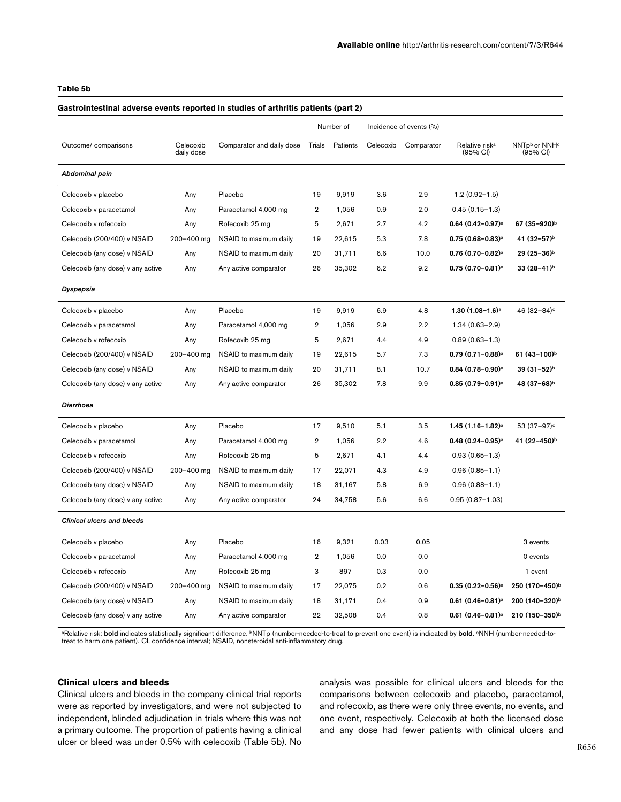# **Table 5b**

### **Gastrointestinal adverse events reported in studies of arthritis patients (part 2)**

|                                   |                         |                           | Number of      |          | Incidence of events (%) |            |                                        |                                                 |
|-----------------------------------|-------------------------|---------------------------|----------------|----------|-------------------------|------------|----------------------------------------|-------------------------------------------------|
| Outcome/ comparisons              | Celecoxib<br>daily dose | Comparator and daily dose | Trials         | Patients | Celecoxib               | Comparator | Relative risk <sup>a</sup><br>(95% CI) | NNTpb or NNH <sup>c</sup><br>$(95% \text{ Cl})$ |
| Abdominal pain                    |                         |                           |                |          |                         |            |                                        |                                                 |
| Celecoxib v placebo               | Any                     | Placebo                   | 19             | 9,919    | 3.6                     | 2.9        | $1.2(0.92 - 1.5)$                      |                                                 |
| Celecoxib v paracetamol           | Any                     | Paracetamol 4,000 mg      | $\overline{2}$ | 1,056    | 0.9                     | 2.0        | $0.45(0.15-1.3)$                       |                                                 |
| Celecoxib v rofecoxib             | Any                     | Rofecoxib 25 mg           | 5              | 2,671    | 2.7                     | 4.2        | $0.64$ (0.42-0.97) <sup>a</sup>        | 67 (35-920)b                                    |
| Celecoxib (200/400) v NSAID       | 200-400 mg              | NSAID to maximum daily    | 19             | 22,615   | 5.3                     | 7.8        | $0.75(0.68 - 0.83)$ a                  | 41 (32-57)b                                     |
| Celecoxib (any dose) v NSAID      | Any                     | NSAID to maximum daily    | 20             | 31,711   | 6.6                     | 10.0       | $0.76(0.70-0.82)$ <sup>a</sup>         | 29 (25-36)b                                     |
| Celecoxib (any dose) v any active | Any                     | Any active comparator     | 26             | 35,302   | 6.2                     | 9.2        | $0.75(0.70-0.81)^a$                    | 33 $(28-41)$ b                                  |
| Dyspepsia                         |                         |                           |                |          |                         |            |                                        |                                                 |
| Celecoxib v placebo               | Any                     | Placebo                   | 19             | 9,919    | 6.9                     | 4.8        | 1.30 $(1.08-1.6)^a$                    | 46 (32-84) <sup>c</sup>                         |
| Celecoxib v paracetamol           | Any                     | Paracetamol 4,000 mg      | $\overline{2}$ | 1,056    | 2.9                     | 2.2        | $1.34(0.63 - 2.9)$                     |                                                 |
| Celecoxib v rofecoxib             | Any                     | Rofecoxib 25 mg           | 5              | 2,671    | 4.4                     | 4.9        | $0.89(0.63 - 1.3)$                     |                                                 |
| Celecoxib (200/400) v NSAID       | 200-400 mg              | NSAID to maximum daily    | 19             | 22,615   | 5.7                     | 7.3        | $0.79(0.71 - 0.88)^a$                  | 61 $(43-100)$ <sup>b</sup>                      |
| Celecoxib (any dose) v NSAID      | Any                     | NSAID to maximum daily    | 20             | 31,711   | 8.1                     | 10.7       | $0.84(0.78 - 0.90)$ <sup>a</sup>       | 39 $(31-52)$ <sup>b</sup>                       |
| Celecoxib (any dose) v any active | Any                     | Any active comparator     | 26             | 35,302   | 7.8                     | 9.9        | $0.85(0.79 - 0.91)^a$                  | 48 (37-68)b                                     |
| Diarrhoea                         |                         |                           |                |          |                         |            |                                        |                                                 |
| Celecoxib v placebo               | Any                     | Placebo                   | 17             | 9,510    | 5.1                     | 3.5        | 1.45 $(1.16 - 1.82)^a$                 | 53 $(37-97)$ c                                  |
| Celecoxib v paracetamol           | Any                     | Paracetamol 4,000 mg      | $\overline{2}$ | 1,056    | 2.2                     | 4.6        | $0.48(0.24 - 0.95)^a$                  | 41 (22-450)b                                    |
| Celecoxib v rofecoxib             | Any                     | Rofecoxib 25 mg           | 5              | 2,671    | 4.1                     | 4.4        | $0.93(0.65 - 1.3)$                     |                                                 |
| Celecoxib (200/400) v NSAID       | 200-400 mg              | NSAID to maximum daily    | 17             | 22,071   | 4.3                     | 4.9        | $0.96(0.85 - 1.1)$                     |                                                 |
| Celecoxib (any dose) v NSAID      | Any                     | NSAID to maximum daily    | 18             | 31,167   | 5.8                     | 6.9        | $0.96(0.88 - 1.1)$                     |                                                 |
| Celecoxib (any dose) v any active | Any                     | Any active comparator     | 24             | 34,758   | 5.6                     | 6.6        | $0.95(0.87 - 1.03)$                    |                                                 |
| <b>Clinical ulcers and bleeds</b> |                         |                           |                |          |                         |            |                                        |                                                 |
| Celecoxib v placebo               | Any                     | Placebo                   | 16             | 9.321    | 0.03                    | 0.05       |                                        | 3 events                                        |
| Celecoxib v paracetamol           | Any                     | Paracetamol 4,000 mg      | $\overline{2}$ | 1,056    | 0.0                     | 0.0        |                                        | 0 events                                        |
| Celecoxib v rofecoxib             | Any                     | Rofecoxib 25 mg           | 3              | 897      | 0.3                     | 0.0        |                                        | 1 event                                         |
| Celecoxib (200/400) v NSAID       | 200-400 mg              | NSAID to maximum daily    | 17             | 22,075   | 0.2                     | 0.6        | $0.35(0.22 - 0.56)^a$                  | 250 (170-450)b                                  |
| Celecoxib (any dose) v NSAID      | Any                     | NSAID to maximum daily    | 18             | 31,171   | 0.4                     | 0.9        | $0.61$ (0.46-0.81) <sup>a</sup>        | 200 (140-320)b                                  |
| Celecoxib (any dose) v any active | Any                     | Any active comparator     | 22             | 32,508   | 0.4                     | 0.8        | $0.61(0.46 - 0.81)a$                   | 210 (150-350)b                                  |

ªRelative risk: **bold** indicates statistically significant difference. <sup>b</sup>NNTp (number-needed-to-treat to prevent one event) is indicated by **bold**. <sup>c</sup>NNH (number-needed-to-<br>treat to harm one patient). CI, confidence inte

# **Clinical ulcers and bleeds**

Clinical ulcers and bleeds in the company clinical trial reports were as reported by investigators, and were not subjected to independent, blinded adjudication in trials where this was not a primary outcome. The proportion of patients having a clinical ulcer or bleed was under 0.5% with celecoxib (Table 5b). No

analysis was possible for clinical ulcers and bleeds for the comparisons between celecoxib and placebo, paracetamol, and rofecoxib, as there were only three events, no events, and one event, respectively. Celecoxib at both the licensed dose and any dose had fewer patients with clinical ulcers and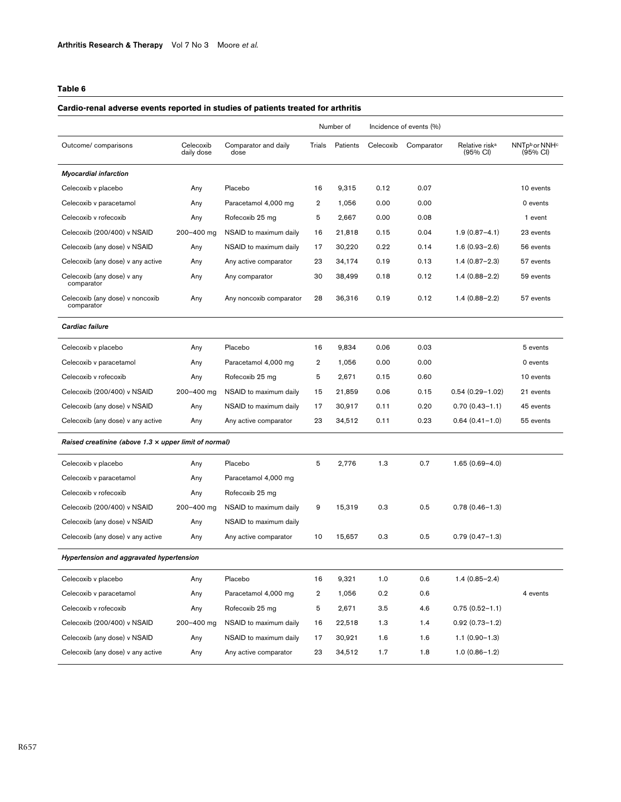# **Cardio-renal adverse events reported in studies of patients treated for arthritis**

|                                                              |                         |                              | Number of      |          | Incidence of events (%) |            |                                        |                                       |
|--------------------------------------------------------------|-------------------------|------------------------------|----------------|----------|-------------------------|------------|----------------------------------------|---------------------------------------|
| Outcome/comparisons                                          | Celecoxib<br>daily dose | Comparator and daily<br>dose | Trials         | Patients | Celecoxib               | Comparator | Relative risk <sup>a</sup><br>(95% CI) | NNTpb or NNH <sup>c</sup><br>(95% CI) |
| <b>Myocardial infarction</b>                                 |                         |                              |                |          |                         |            |                                        |                                       |
| Celecoxib v placebo                                          | Any                     | Placebo                      | 16             | 9,315    | 0.12                    | 0.07       |                                        | 10 events                             |
| Celecoxib v paracetamol                                      | Any                     | Paracetamol 4,000 mg         | $\overline{2}$ | 1,056    | 0.00                    | 0.00       |                                        | 0 events                              |
| Celecoxib v rofecoxib                                        | Any                     | Rofecoxib 25 mg              | 5              | 2,667    | 0.00                    | 0.08       |                                        | 1 event                               |
| Celecoxib (200/400) v NSAID                                  | 200-400 mg              | NSAID to maximum daily       | 16             | 21,818   | 0.15                    | 0.04       | $1.9(0.87 - 4.1)$                      | 23 events                             |
| Celecoxib (any dose) v NSAID                                 | Any                     | NSAID to maximum daily       | 17             | 30,220   | 0.22                    | 0.14       | $1.6(0.93 - 2.6)$                      | 56 events                             |
| Celecoxib (any dose) v any active                            | Any                     | Any active comparator        | 23             | 34,174   | 0.19                    | 0.13       | $1.4(0.87 - 2.3)$                      | 57 events                             |
| Celecoxib (any dose) v any<br>comparator                     | Any                     | Any comparator               | 30             | 38,499   | 0.18                    | 0.12       | $1.4(0.88 - 2.2)$                      | 59 events                             |
| Celecoxib (any dose) v noncoxib<br>comparator                | Any                     | Any noncoxib comparator      | 28             | 36,316   | 0.19                    | 0.12       | $1.4(0.88 - 2.2)$                      | 57 events                             |
| Cardiac failure                                              |                         |                              |                |          |                         |            |                                        |                                       |
| Celecoxib v placebo                                          | Any                     | Placebo                      | 16             | 9,834    | 0.06                    | 0.03       |                                        | 5 events                              |
| Celecoxib v paracetamol                                      | Any                     | Paracetamol 4,000 mg         | $\overline{2}$ | 1,056    | 0.00                    | 0.00       |                                        | 0 events                              |
| Celecoxib v rofecoxib                                        | Any                     | Rofecoxib 25 mg              | 5              | 2,671    | 0.15                    | 0.60       |                                        | 10 events                             |
| Celecoxib (200/400) v NSAID                                  | 200-400 mg              | NSAID to maximum daily       | 15             | 21,859   | 0.06                    | 0.15       | $0.54(0.29 - 1.02)$                    | 21 events                             |
| Celecoxib (any dose) v NSAID                                 | Any                     | NSAID to maximum daily       | 17             | 30,917   | 0.11                    | 0.20       | $0.70(0.43 - 1.1)$                     | 45 events                             |
| Celecoxib (any dose) v any active                            | Any                     | Any active comparator        | 23             | 34,512   | 0.11                    | 0.23       | $0.64(0.41 - 1.0)$                     | 55 events                             |
| Raised creatinine (above $1.3 \times$ upper limit of normal) |                         |                              |                |          |                         |            |                                        |                                       |
| Celecoxib v placebo                                          | Any                     | Placebo                      | 5              | 2,776    | 1.3                     | 0.7        | $1.65(0.69 - 4.0)$                     |                                       |
| Celecoxib v paracetamol                                      | Any                     | Paracetamol 4,000 mg         |                |          |                         |            |                                        |                                       |
| Celecoxib v rofecoxib                                        | Any                     | Rofecoxib 25 mg              |                |          |                         |            |                                        |                                       |
| Celecoxib (200/400) v NSAID                                  | 200-400 mg              | NSAID to maximum daily       | 9              | 15,319   | 0.3                     | 0.5        | $0.78(0.46 - 1.3)$                     |                                       |
| Celecoxib (any dose) v NSAID                                 | Any                     | NSAID to maximum daily       |                |          |                         |            |                                        |                                       |
| Celecoxib (any dose) v any active                            | Any                     | Any active comparator        | 10             | 15,657   | 0.3                     | 0.5        | $0.79(0.47 - 1.3)$                     |                                       |
| Hypertension and aggravated hypertension                     |                         |                              |                |          |                         |            |                                        |                                       |
| Celecoxib v placebo                                          | Any                     | Placebo                      | 16             | 9,321    | 1.0                     | 0.6        | $1.4(0.85 - 2.4)$                      |                                       |
| Celecoxib v paracetamol                                      | Any                     | Paracetamol 4,000 mg         | $\overline{2}$ | 1,056    | 0.2                     | 0.6        |                                        | 4 events                              |
| Celecoxib v rofecoxib                                        | Any                     | Rofecoxib 25 mg              | 5              | 2,671    | 3.5                     | 4.6        | $0.75(0.52 - 1.1)$                     |                                       |
| Celecoxib (200/400) v NSAID                                  | 200-400 mg              | NSAID to maximum daily       | 16             | 22,518   | 1.3                     | 1.4        | $0.92(0.73 - 1.2)$                     |                                       |
| Celecoxib (any dose) v NSAID                                 | Any                     | NSAID to maximum daily       | 17             | 30,921   | 1.6                     | 1.6        | $1.1(0.90-1.3)$                        |                                       |
| Celecoxib (any dose) v any active                            | Any                     | Any active comparator        | 23             | 34,512   | 1.7                     | 1.8        | $1.0(0.86 - 1.2)$                      |                                       |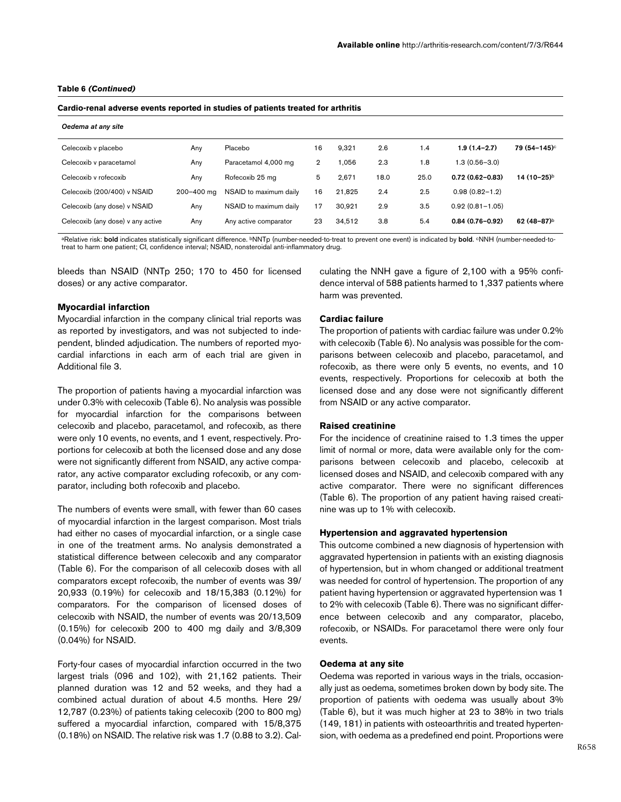#### **Table 6** *(Continued)*

#### **Cardio-renal adverse events reported in studies of patients treated for arthritis**

| Oedema at any site                |            |                        |                |        |      |      |                     |                          |  |  |
|-----------------------------------|------------|------------------------|----------------|--------|------|------|---------------------|--------------------------|--|--|
| Celecoxib v placebo               | Any        | Placebo                | 16             | 9,321  | 2.6  | 1.4  | 1.9 (1.4–2.7)       | 79 (54-145) <sup>c</sup> |  |  |
| Celecoxib v paracetamol           | Any        | Paracetamol 4,000 mg   | $\overline{2}$ | 1.056  | 2.3  | 1.8  | $1.3(0.56 - 3.0)$   |                          |  |  |
| Celecoxib v rofecoxib             | Anv        | Rofecoxib 25 mg        | 5              | 2.671  | 18.0 | 25.0 | $0.72(0.62 - 0.83)$ | 14 (10-25)b              |  |  |
| Celecoxib (200/400) v NSAID       | 200-400 ma | NSAID to maximum daily | 16             | 21.825 | 2.4  | 2.5  | $0.98(0.82 - 1.2)$  |                          |  |  |
| Celecoxib (any dose) v NSAID      | Any        | NSAID to maximum daily | 17             | 30.921 | 2.9  | 3.5  | $0.92(0.81 - 1.05)$ |                          |  |  |
| Celecoxib (any dose) v any active | Any        | Any active comparator  | 23             | 34,512 | 3.8  | 5.4  | $0.84(0.76 - 0.92)$ | 62 $(48-87)$             |  |  |

ªRelative risk: **bold** indicates statistically significant difference. <sup>b</sup>NNTp (number-needed-to-treat to prevent one event) is indicated by **bold**. <sup>c</sup>NNH (number-needed-to-<br>treat to harm one patient; CI, confidence inter

bleeds than NSAID (NNTp 250; 170 to 450 for licensed doses) or any active comparator.

#### **Myocardial infarction**

Myocardial infarction in the company clinical trial reports was as reported by investigators, and was not subjected to independent, blinded adjudication. The numbers of reported myocardial infarctions in each arm of each trial are given in Additional file 3.

The proportion of patients having a myocardial infarction was under 0.3% with celecoxib (Table 6). No analysis was possible for myocardial infarction for the comparisons between celecoxib and placebo, paracetamol, and rofecoxib, as there were only 10 events, no events, and 1 event, respectively. Proportions for celecoxib at both the licensed dose and any dose were not significantly different from NSAID, any active comparator, any active comparator excluding rofecoxib, or any comparator, including both rofecoxib and placebo.

The numbers of events were small, with fewer than 60 cases of myocardial infarction in the largest comparison. Most trials had either no cases of myocardial infarction, or a single case in one of the treatment arms. No analysis demonstrated a statistical difference between celecoxib and any comparator (Table 6). For the comparison of all celecoxib doses with all comparators except rofecoxib, the number of events was 39/ 20,933 (0.19%) for celecoxib and 18/15,383 (0.12%) for comparators. For the comparison of licensed doses of celecoxib with NSAID, the number of events was 20/13,509 (0.15%) for celecoxib 200 to 400 mg daily and 3/8,309 (0.04%) for NSAID.

Forty-four cases of myocardial infarction occurred in the two largest trials (096 and 102), with 21,162 patients. Their planned duration was 12 and 52 weeks, and they had a combined actual duration of about 4.5 months. Here 29/ 12,787 (0.23%) of patients taking celecoxib (200 to 800 mg) suffered a myocardial infarction, compared with 15/8,375 (0.18%) on NSAID. The relative risk was 1.7 (0.88 to 3.2). Cal-

culating the NNH gave a figure of 2,100 with a 95% confidence interval of 588 patients harmed to 1,337 patients where harm was prevented.

# **Cardiac failure**

The proportion of patients with cardiac failure was under 0.2% with celecoxib (Table 6). No analysis was possible for the comparisons between celecoxib and placebo, paracetamol, and rofecoxib, as there were only 5 events, no events, and 10 events, respectively. Proportions for celecoxib at both the licensed dose and any dose were not significantly different from NSAID or any active comparator.

# **Raised creatinine**

For the incidence of creatinine raised to 1.3 times the upper limit of normal or more, data were available only for the comparisons between celecoxib and placebo, celecoxib at licensed doses and NSAID, and celecoxib compared with any active comparator. There were no significant differences (Table 6). The proportion of any patient having raised creatinine was up to 1% with celecoxib.

### **Hypertension and aggravated hypertension**

This outcome combined a new diagnosis of hypertension with aggravated hypertension in patients with an existing diagnosis of hypertension, but in whom changed or additional treatment was needed for control of hypertension. The proportion of any patient having hypertension or aggravated hypertension was 1 to 2% with celecoxib (Table 6). There was no significant difference between celecoxib and any comparator, placebo, rofecoxib, or NSAIDs. For paracetamol there were only four events.

# **Oedema at any site**

Oedema was reported in various ways in the trials, occasionally just as oedema, sometimes broken down by body site. The proportion of patients with oedema was usually about 3% (Table 6), but it was much higher at 23 to 38% in two trials (149, 181) in patients with osteoarthritis and treated hypertension, with oedema as a predefined end point. Proportions were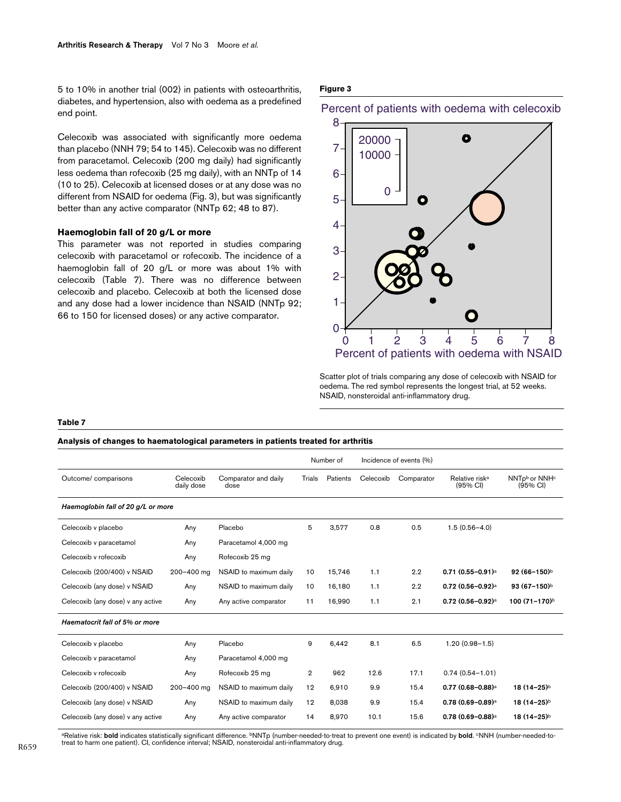5 to 10% in another trial (002) in patients with osteoarthritis, diabetes, and hypertension, also with oedema as a predefined end point.

Celecoxib was associated with significantly more oedema than placebo (NNH 79; 54 to 145). Celecoxib was no different from paracetamol. Celecoxib (200 mg daily) had significantly less oedema than rofecoxib (25 mg daily), with an NNTp of 14 (10 to 25). Celecoxib at licensed doses or at any dose was no different from NSAID for oedema (Fig. 3), but was significantly better than any active comparator (NNTp 62; 48 to 87).

# **Haemoglobin fall of 20 g/L or more**

This parameter was not reported in studies comparing celecoxib with paracetamol or rofecoxib. The incidence of a haemoglobin fall of 20 g/L or more was about 1% with celecoxib (Table 7). There was no difference between celecoxib and placebo. Celecoxib at both the licensed dose and any dose had a lower incidence than NSAID (NNTp 92; 66 to 150 for licensed doses) or any active comparator.

# **Figure 3**

Percent of patients with oedema with celecoxib



Scatter plot of trials comparing any dose of celecoxib with NSAID for oedema. The red symbol represents the longest trial, at 52 weeks. NSAID, nonsteroidal anti-inflammatory drug.

**Table 7**

#### **Analysis of changes to haematological parameters in patients treated for arthritis**

|                                    |                         |                              |                | Number of | Incidence of events (%) |            |                                                  |                                                 |
|------------------------------------|-------------------------|------------------------------|----------------|-----------|-------------------------|------------|--------------------------------------------------|-------------------------------------------------|
| Outcome/ comparisons               | Celecoxib<br>daily dose | Comparator and daily<br>dose | Trials         | Patients  | Celecoxib               | Comparator | Relative risk <sup>a</sup><br>$(95% \text{ Cl})$ | NNTpb or NNH <sup>c</sup><br>$(95% \text{ Cl})$ |
| Haemoglobin fall of 20 g/L or more |                         |                              |                |           |                         |            |                                                  |                                                 |
| Celecoxib v placebo                | Any                     | Placebo                      | 5              | 3.577     | 0.8                     | 0.5        | $1.5(0.56 - 4.0)$                                |                                                 |
| Celecoxib v paracetamol            | Any                     | Paracetamol 4,000 mg         |                |           |                         |            |                                                  |                                                 |
| Celecoxib v rofecoxib              | Any                     | Rofecoxib 25 mg              |                |           |                         |            |                                                  |                                                 |
| Celecoxib (200/400) v NSAID        | 200-400 mg              | NSAID to maximum daily       | 10             | 15,746    | 1.1                     | 2.2        | $0.71(0.55 - 0.91)^a$                            | 92 $(66-150)$                                   |
| Celecoxib (any dose) v NSAID       | Any                     | NSAID to maximum daily       | 10             | 16,180    | 1.1                     | 2.2        | $0.72(0.56 - 0.92)$ a                            | 93 (67-150)b                                    |
| Celecoxib (any dose) v any active  | Any                     | Any active comparator        | 11             | 16,990    | 1.1                     | 2.1        | $0.72(0.56 - 0.92)^a$                            | 100 (71-170) <sup>b</sup>                       |
| Haematocrit fall of 5% or more     |                         |                              |                |           |                         |            |                                                  |                                                 |
| Celecoxib v placebo                | Any                     | Placebo                      | 9              | 6.442     | 8.1                     | 6.5        | $1.20(0.98 - 1.5)$                               |                                                 |
| Celecoxib v paracetamol            | Any                     | Paracetamol 4,000 mg         |                |           |                         |            |                                                  |                                                 |
| Celecoxib v rofecoxib              | Any                     | Rofecoxib 25 mg              | $\overline{2}$ | 962       | 12.6                    | 17.1       | $0.74(0.54 - 1.01)$                              |                                                 |
| Celecoxib (200/400) v NSAID        | 200-400 ma              | NSAID to maximum daily       | 12             | 6,910     | 9.9                     | 15.4       | $0.77(0.68 - 0.88)^a$                            | 18 (14-25)b                                     |
| Celecoxib (any dose) v NSAID       | Any                     | NSAID to maximum daily       | 12             | 8,038     | 9.9                     | 15.4       | $0.78(0.69 - 0.89)$ a                            | 18 (14-25)b                                     |
| Celecoxib (any dose) v any active  | Any                     | Any active comparator        | 14             | 8,970     | 10.1                    | 15.6       | $0.78(0.69 - 0.88)^a$                            | 18 (14-25)b                                     |

aRelative risk: **bold** indicates statistically significant difference. bNNTp (number-needed-to-treat to prevent one event) is indicated by **bold**. cNNH (number-needed-totreat to harm one patient). CI, confidence interval; NSAID, nonsteroidal anti-inflammatory drug.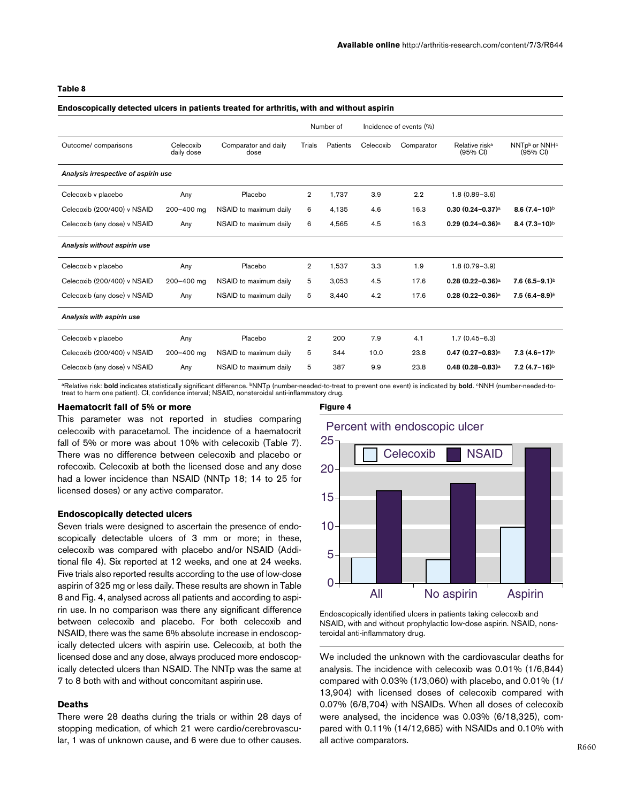#### **Endoscopically detected ulcers in patients treated for arthritis, with and without aspirin**

|                                      |                         |                              |                | Number of | Incidence of events (%) |            |                                                  |                                                 |
|--------------------------------------|-------------------------|------------------------------|----------------|-----------|-------------------------|------------|--------------------------------------------------|-------------------------------------------------|
| Outcome/ comparisons                 | Celecoxib<br>daily dose | Comparator and daily<br>dose | Trials         | Patients  | Celecoxib               | Comparator | Relative risk <sup>a</sup><br>$(95% \text{ Cl})$ | NNTpb or NNH <sup>c</sup><br>$(95% \text{ Cl})$ |
| Analysis irrespective of aspirin use |                         |                              |                |           |                         |            |                                                  |                                                 |
| Celecoxib v placebo                  | Any                     | Placebo                      | $\overline{2}$ | 1,737     | 3.9                     | 2.2        | $1.8(0.89 - 3.6)$                                |                                                 |
| Celecoxib (200/400) v NSAID          | 200-400 mg              | NSAID to maximum daily       | 6              | 4,135     | 4.6                     | 16.3       | $0.30(0.24 - 0.37)a$                             | $8.6 (7.4 - 10)$ b                              |
| Celecoxib (any dose) v NSAID         | Any                     | NSAID to maximum daily       | 6              | 4,565     | 4.5                     | 16.3       | $0.29(0.24 - 0.36)$ <sup>a</sup>                 | $8.4 (7.3 - 10)$ b                              |
| Analysis without aspirin use         |                         |                              |                |           |                         |            |                                                  |                                                 |
| Celecoxib v placebo                  | Any                     | Placebo                      | $\overline{2}$ | 1,537     | 3.3                     | 1.9        | $1.8(0.79 - 3.9)$                                |                                                 |
| Celecoxib (200/400) v NSAID          | 200-400 mg              | NSAID to maximum daily       | 5              | 3,053     | 4.5                     | 17.6       | $0.28(0.22 - 0.36)^a$                            | $7.6~(6.5-9.1)^{b}$                             |
| Celecoxib (any dose) v NSAID         | Any                     | NSAID to maximum daily       | 5              | 3,440     | 4.2                     | 17.6       | $0.28(0.22 - 0.36)$ a                            | $7.5(6.4 - 8.9)$ b                              |
| Analysis with aspirin use            |                         |                              |                |           |                         |            |                                                  |                                                 |
| Celecoxib v placebo                  | Any                     | Placebo                      | $\overline{2}$ | 200       | 7.9                     | 4.1        | $1.7(0.45 - 6.3)$                                |                                                 |
| Celecoxib (200/400) v NSAID          | 200-400 mg              | NSAID to maximum daily       | 5              | 344       | 10.0                    | 23.8       | $0.47(0.27 - 0.83)$ <sup>a</sup>                 | 7.3 $(4.6-17)$ <sup>b</sup>                     |
| Celecoxib (any dose) v NSAID         | Any                     | NSAID to maximum daily       | 5              | 387       | 9.9                     | 23.8       | $0.48(0.28 - 0.83)$ a                            | $7.2(4.7-16)$ b                                 |

aRelative risk: bold indicates statistically significant difference. bNNTp (number-needed-to-treat to prevent one event) is indicated by bold. cNNH (number-needed-totreat to harm one patient). CI, confidence interval; NSAID, nonsteroidal anti-inflammatory drug.

#### **Haematocrit fall of 5% or more**

This parameter was not reported in studies comparing celecoxib with paracetamol. The incidence of a haematocrit fall of 5% or more was about 10% with celecoxib (Table 7). There was no difference between celecoxib and placebo or rofecoxib. Celecoxib at both the licensed dose and any dose had a lower incidence than NSAID (NNTp 18; 14 to 25 for licensed doses) or any active comparator.

### **Endoscopically detected ulcers**

Seven trials were designed to ascertain the presence of endoscopically detectable ulcers of 3 mm or more; in these, celecoxib was compared with placebo and/or NSAID (Additional file 4). Six reported at 12 weeks, and one at 24 weeks. Five trials also reported results according to the use of low-dose aspirin of 325 mg or less daily. These results are shown in Table 8 and Fig. [4,](#page-16-0) analysed across all patients and according to aspirin use. In no comparison was there any significant difference between celecoxib and placebo. For both celecoxib and NSAID, there was the same 6% absolute increase in endoscopically detected ulcers with aspirin use. Celecoxib, at both the licensed dose and any dose, always produced more endoscopically detected ulcers than NSAID. The NNTp was the same at 7 to 8 both with and without concomitant aspirin use.

#### **Deaths**

There were 28 deaths during the trials or within 28 days of stopping medication, of which 21 were cardio/cerebrovascular, 1 was of unknown cause, and 6 were due to other causes.

<span id="page-16-0"></span>

Endoscopically identified ulcers in patients taking celecoxib and NSAID, with and without prophylactic low-dose aspirin. NSAID, nonsteroidal anti-inflammatory drug.

We included the unknown with the cardiovascular deaths for analysis. The incidence with celecoxib was 0.01% (1/6,844) compared with 0.03% (1/3,060) with placebo, and 0.01% (1/ 13,904) with licensed doses of celecoxib compared with 0.07% (6/8,704) with NSAIDs. When all doses of celecoxib were analysed, the incidence was 0.03% (6/18,325), compared with 0.11% (14/12,685) with NSAIDs and 0.10% with all active comparators.

**Figure 4**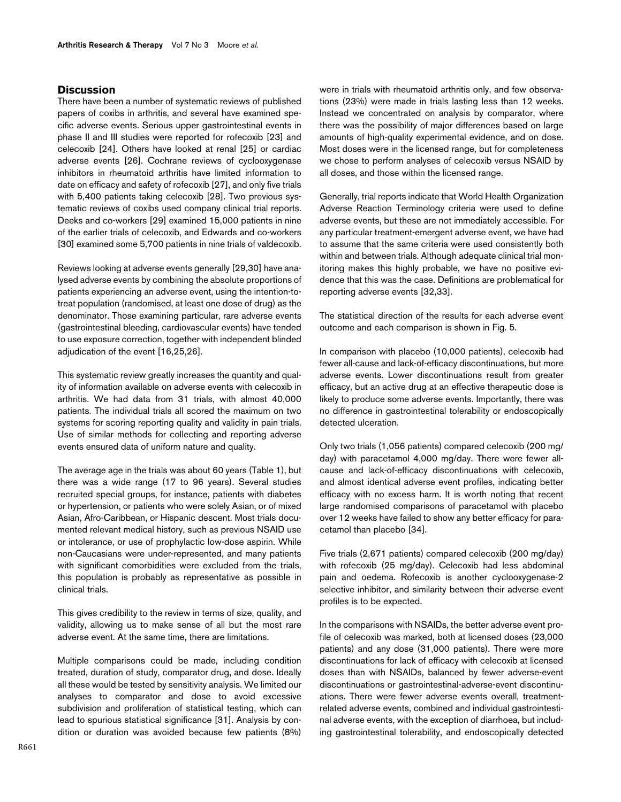# **Discussion**

There have been a number of systematic reviews of published papers of coxibs in arthritis, and several have examined specific adverse events. Serious upper gastrointestinal events in phase II and III studies were reported for rofecoxib [23] and celecoxib [24]. Others have looked at renal [25] or cardiac adverse events [26]. Cochrane reviews of cyclooxygenase inhibitors in rheumatoid arthritis have limited information to date on efficacy and safety of rofecoxib [27], and only five trials with 5,400 patients taking celecoxib [28]. Two previous systematic reviews of coxibs used company clinical trial reports. Deeks and co-workers [29] examined 15,000 patients in nine of the earlier trials of celecoxib, and Edwards and co-workers [30] examined some 5,700 patients in nine trials of valdecoxib.

Reviews looking at adverse events generally [29,30] have analysed adverse events by combining the absolute proportions of patients experiencing an adverse event, using the intention-totreat population (randomised, at least one dose of drug) as the denominator. Those examining particular, rare adverse events (gastrointestinal bleeding, cardiovascular events) have tended to use exposure correction, together with independent blinded adjudication of the event [16,25,26].

This systematic review greatly increases the quantity and quality of information available on adverse events with celecoxib in arthritis. We had data from 31 trials, with almost 40,000 patients. The individual trials all scored the maximum on two systems for scoring reporting quality and validity in pain trials. Use of similar methods for collecting and reporting adverse events ensured data of uniform nature and quality.

The average age in the trials was about 60 years (Table [1](#page-2-0)), but there was a wide range (17 to 96 years). Several studies recruited special groups, for instance, patients with diabetes or hypertension, or patients who were solely Asian, or of mixed Asian, Afro-Caribbean, or Hispanic descent. Most trials documented relevant medical history, such as previous NSAID use or intolerance, or use of prophylactic low-dose aspirin. While non-Caucasians were under-represented, and many patients with significant comorbidities were excluded from the trials, this population is probably as representative as possible in clinical trials.

This gives credibility to the review in terms of size, quality, and validity, allowing us to make sense of all but the most rare adverse event. At the same time, there are limitations.

Multiple comparisons could be made, including condition treated, duration of study, comparator drug, and dose. Ideally all these would be tested by sensitivity analysis. We limited our analyses to comparator and dose to avoid excessive subdivision and proliferation of statistical testing, which can lead to spurious statistical significance [31]. Analysis by condition or duration was avoided because few patients (8%)

were in trials with rheumatoid arthritis only, and few observations (23%) were made in trials lasting less than 12 weeks. Instead we concentrated on analysis by comparator, where there was the possibility of major differences based on large amounts of high-quality experimental evidence, and on dose. Most doses were in the licensed range, but for completeness we chose to perform analyses of celecoxib versus NSAID by all doses, and those within the licensed range.

Generally, trial reports indicate that World Health Organization Adverse Reaction Terminology criteria were used to define adverse events, but these are not immediately accessible. For any particular treatment-emergent adverse event, we have had to assume that the same criteria were used consistently both within and between trials. Although adequate clinical trial monitoring makes this highly probable, we have no positive evidence that this was the case. Definitions are problematical for reporting adverse events [32,33].

The statistical direction of the results for each adverse event outcome and each comparison is shown in Fig. [5.](#page-18-0)

In comparison with placebo (10,000 patients), celecoxib had fewer all-cause and lack-of-efficacy discontinuations, but more adverse events. Lower discontinuations result from greater efficacy, but an active drug at an effective therapeutic dose is likely to produce some adverse events. Importantly, there was no difference in gastrointestinal tolerability or endoscopically detected ulceration.

Only two trials (1,056 patients) compared celecoxib (200 mg/ day) with paracetamol 4,000 mg/day. There were fewer allcause and lack-of-efficacy discontinuations with celecoxib, and almost identical adverse event profiles, indicating better efficacy with no excess harm. It is worth noting that recent large randomised comparisons of paracetamol with placebo over 12 weeks have failed to show any better efficacy for paracetamol than placebo [34].

Five trials (2,671 patients) compared celecoxib (200 mg/day) with rofecoxib (25 mg/day). Celecoxib had less abdominal pain and oedema. Rofecoxib is another cyclooxygenase-2 selective inhibitor, and similarity between their adverse event profiles is to be expected.

In the comparisons with NSAIDs, the better adverse event profile of celecoxib was marked, both at licensed doses (23,000 patients) and any dose (31,000 patients). There were more discontinuations for lack of efficacy with celecoxib at licensed doses than with NSAIDs, balanced by fewer adverse-event discontinuations or gastrointestinal-adverse-event discontinuations. There were fewer adverse events overall, treatmentrelated adverse events, combined and individual gastrointestinal adverse events, with the exception of diarrhoea, but including gastrointestinal tolerability, and endoscopically detected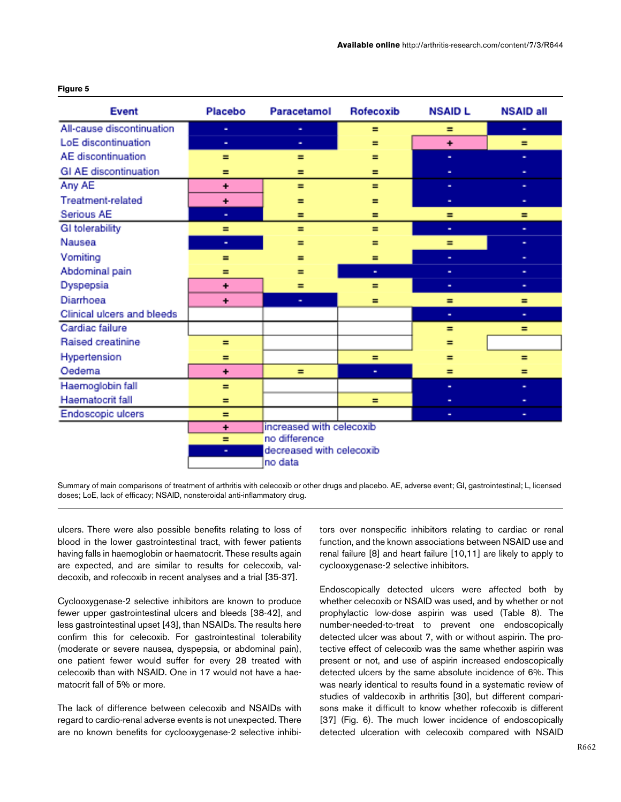<span id="page-18-0"></span>

| <b>Event</b>                 | Placebo                                             | Paracetamol | Rofecoxib | <b>NSAID L</b> | <b>NSAID all</b> |  |  |  |
|------------------------------|-----------------------------------------------------|-------------|-----------|----------------|------------------|--|--|--|
| All-cause discontinuation    | ٠                                                   | ٠           | $\equiv$  | $=$            | ٠                |  |  |  |
| LoE discontinuation          | ٠                                                   | ٠           | Ξ         | ÷              | $\equiv$         |  |  |  |
| AE discontinuation           | Ξ                                                   | $=$         | =         | ٠              | ٠                |  |  |  |
| <b>GI AE discontinuation</b> | Ξ                                                   | Ξ           | $\equiv$  | ۰              | ۰                |  |  |  |
| Any AE                       | ÷                                                   | Ξ           | $\equiv$  | ۰              | ٠                |  |  |  |
| Treatment-related            | ÷                                                   | =           | =         | ۰              | ۰                |  |  |  |
| Serious AE                   | ٠                                                   | Ξ           | $\equiv$  | $=$            | $\equiv$         |  |  |  |
| <b>GI tolerability</b>       | $\equiv$                                            | Ξ           | Ξ         | ٠              | ٠                |  |  |  |
| Nausea                       | ٠                                                   | =           | =         | $=$            | ٠                |  |  |  |
| Vomiting                     | $\equiv$                                            | =           | $\equiv$  | ٠              | ٠                |  |  |  |
| Abdominal pain               | Ξ                                                   | Ξ           | ٠         | ٠              | ٠                |  |  |  |
| Dyspepsia                    | $\ddot{}$                                           | =           | =         | ٠              | ٠                |  |  |  |
| Diarrhoea                    | ÷                                                   | ٠           | Ξ         | $\equiv$       | =                |  |  |  |
| Clinical ulcers and bleeds   |                                                     |             |           | ٠              | ٠                |  |  |  |
| Cardiac failure              |                                                     |             |           | $=$            | =                |  |  |  |
| Raised creatinine            | Ξ                                                   |             |           | =              |                  |  |  |  |
| Hypertension                 | Ξ                                                   |             | $\equiv$  | =              | $\equiv$         |  |  |  |
| Oedema                       | ÷                                                   | $\equiv$    | ٠         | =              | =                |  |  |  |
| Haemoglobin fall             | $\equiv$                                            |             |           | ٠              | ۰                |  |  |  |
| Haematocrit fall             | $\equiv$                                            |             | $\equiv$  | ۰              | ۰                |  |  |  |
| Endoscopic ulcers            | $\equiv$                                            |             |           | ٠              | ٠                |  |  |  |
|                              | increased with celecoxib<br>÷                       |             |           |                |                  |  |  |  |
|                              | no difference<br>Ξ<br>decreased with celecoxib<br>٠ |             |           |                |                  |  |  |  |
|                              | no data                                             |             |           |                |                  |  |  |  |
|                              |                                                     |             |           |                |                  |  |  |  |

#### **Figure 5**

Summary of main comparisons of treatment of arthritis with celecoxib or other drugs and placebo. AE, adverse event; GI, gastrointestinal; L, licensed doses; LoE, lack of efficacy; NSAID, nonsteroidal anti-inflammatory drug.

ulcers. There were also possible benefits relating to loss of blood in the lower gastrointestinal tract, with fewer patients having falls in haemoglobin or haematocrit. These results again are expected, and are similar to results for celecoxib, valdecoxib, and rofecoxib in recent analyses and a trial [35-37].

Cyclooxygenase-2 selective inhibitors are known to produce fewer upper gastrointestinal ulcers and bleeds [38-42], and less gastrointestinal upset [43], than NSAIDs. The results here confirm this for celecoxib. For gastrointestinal tolerability (moderate or severe nausea, dyspepsia, or abdominal pain), one patient fewer would suffer for every 28 treated with celecoxib than with NSAID. One in 17 would not have a haematocrit fall of 5% or more.

The lack of difference between celecoxib and NSAIDs with regard to cardio-renal adverse events is not unexpected. There are no known benefits for cyclooxygenase-2 selective inhibitors over nonspecific inhibitors relating to cardiac or renal function, and the known associations between NSAID use and renal failure [8] and heart failure [10,11] are likely to apply to cyclooxygenase-2 selective inhibitors.

Endoscopically detected ulcers were affected both by whether celecoxib or NSAID was used, and by whether or not prophylactic low-dose aspirin was used (Table 8). The number-needed-to-treat to prevent one endoscopically detected ulcer was about 7, with or without aspirin. The protective effect of celecoxib was the same whether aspirin was present or not, and use of aspirin increased endoscopically detected ulcers by the same absolute incidence of 6%. This was nearly identical to results found in a systematic review of studies of valdecoxib in arthritis [30], but different comparisons make it difficult to know whether rofecoxib is different [37] (Fig. 6). The much lower incidence of endoscopically detected ulceration with celecoxib compared with NSAID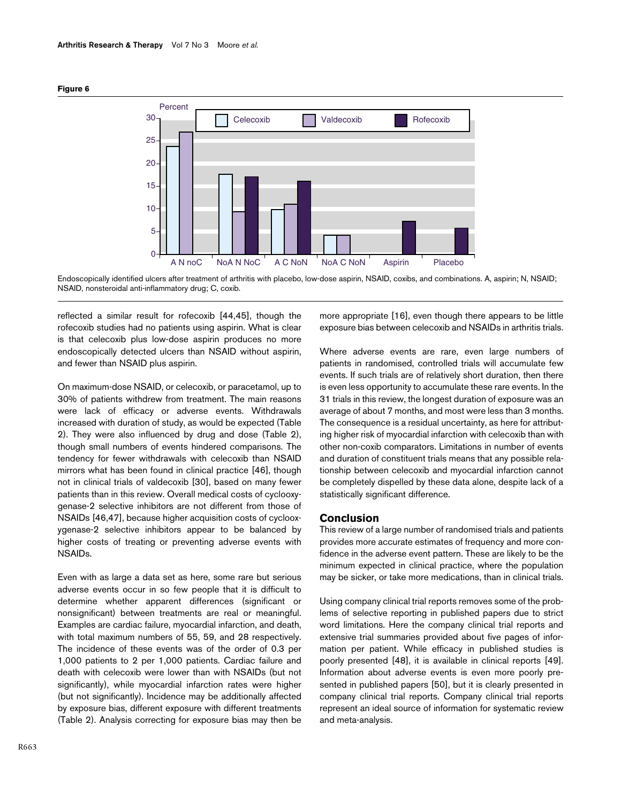

#### **Figure 6**



reflected a similar result for rofecoxib [44,45], though the rofecoxib studies had no patients using aspirin. What is clear is that celecoxib plus low-dose aspirin produces no more endoscopically detected ulcers than NSAID without aspirin, and fewer than NSAID plus aspirin.

On maximum-dose NSAID, or celecoxib, or paracetamol, up to 30% of patients withdrew from treatment. The main reasons were lack of efficacy or adverse events. Withdrawals increased with duration of study, as would be expected (Table [2](#page-6-0)). They were also influenced by drug and dose (Table [2](#page-6-0)), though small numbers of events hindered comparisons. The tendency for fewer withdrawals with celecoxib than NSAID mirrors what has been found in clinical practice [46], though not in clinical trials of valdecoxib [30], based on many fewer patients than in this review. Overall medical costs of cyclooxygenase-2 selective inhibitors are not different from those of NSAIDs [46,47], because higher acquisition costs of cyclooxygenase-2 selective inhibitors appear to be balanced by higher costs of treating or preventing adverse events with NSAIDs.

Even with as large a data set as here, some rare but serious adverse events occur in so few people that it is difficult to determine whether apparent differences (significant or nonsignificant) between treatments are real or meaningful. Examples are cardiac failure, myocardial infarction, and death, with total maximum numbers of 55, 59, and 28 respectively. The incidence of these events was of the order of 0.3 per 1,000 patients to 2 per 1,000 patients. Cardiac failure and death with celecoxib were lower than with NSAIDs (but not significantly), while myocardial infarction rates were higher (but not significantly). Incidence may be additionally affected by exposure bias, different exposure with different treatments (Table [2\)](#page-6-0). Analysis correcting for exposure bias may then be

more appropriate [16], even though there appears to be little exposure bias between celecoxib and NSAIDs in arthritis trials.

Where adverse events are rare, even large numbers of patients in randomised, controlled trials will accumulate few events. If such trials are of relatively short duration, then there is even less opportunity to accumulate these rare events. In the 31 trials in this review, the longest duration of exposure was an average of about 7 months, and most were less than 3 months. The consequence is a residual uncertainty, as here for attributing higher risk of myocardial infarction with celecoxib than with other non-coxib comparators. Limitations in number of events and duration of constituent trials means that any possible relationship between celecoxib and myocardial infarction cannot be completely dispelled by these data alone, despite lack of a statistically significant difference.

# **Conclusion**

This review of a large number of randomised trials and patients provides more accurate estimates of frequency and more confidence in the adverse event pattern. These are likely to be the minimum expected in clinical practice, where the population may be sicker, or take more medications, than in clinical trials.

Using company clinical trial reports removes some of the problems of selective reporting in published papers due to strict word limitations. Here the company clinical trial reports and extensive trial summaries provided about five pages of information per patient. While efficacy in published studies is poorly presented [48], it is available in clinical reports [49]. Information about adverse events is even more poorly presented in published papers [50], but it is clearly presented in company clinical trial reports. Company clinical trial reports represent an ideal source of information for systematic review and meta-analysis.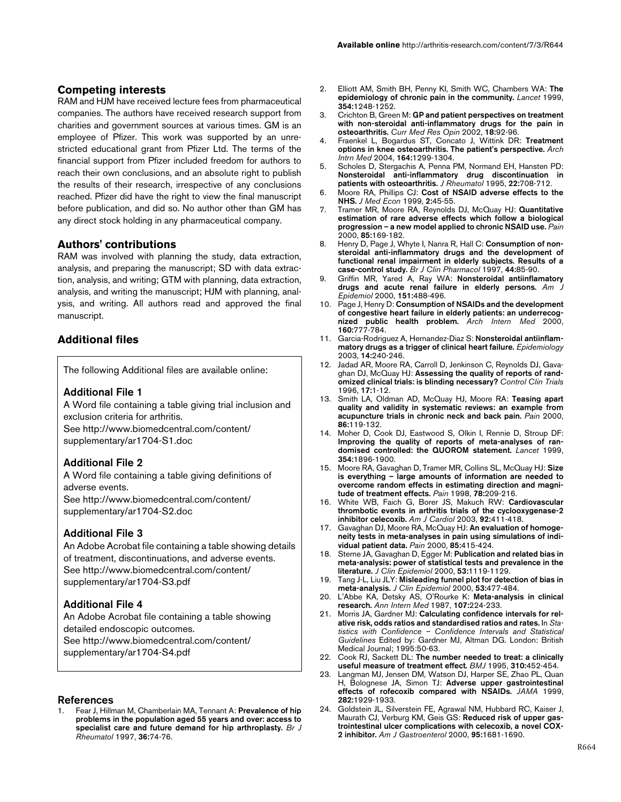# **Competing interests**

RAM and HJM have received lecture fees from pharmaceutical companies. The authors have received research support from charities and government sources at various times. GM is an employee of Pfizer. This work was supported by an unrestricted educational grant from Pfizer Ltd. The terms of the financial support from Pfizer included freedom for authors to reach their own conclusions, and an absolute right to publish the results of their research, irrespective of any conclusions reached. Pfizer did have the right to view the final manuscript before publication, and did so. No author other than GM has any direct stock holding in any pharmaceutical company.

# **Authors' contributions**

RAM was involved with planning the study, data extraction, analysis, and preparing the manuscript; SD with data extraction, analysis, and writing; GTM with planning, data extraction, analysis, and writing the manuscript; HJM with planning, analysis, and writing. All authors read and approved the final manuscript.

# **Additional files**

The following Additional files are available online:

# **Additional File 1**

A Word file containing a table giving trial inclusion and exclusion criteria for arthritis. [See http://www.biomedcentral.com/content/](http://www.biomedcentral.com/content/supplementary/ar1704-S1.doc)

supplementary/ar1704-S1.doc

# **Additional File 2**

A Word file containing a table giving definitions of adverse events. [See http://www.biomedcentral.com/content/](http://www.biomedcentral.com/content/supplementary/ar1704-S2.doc) supplementary/ar1704-S2.doc

# **Additional File 3**

An Adobe Acrobat file containing a table showing details of treatment, discontinuations, and adverse events. [See http://www.biomedcentral.com/content/](http://www.biomedcentral.com/content/supplementary/ar1704-S3.pdf) supplementary/ar1704-S3.pdf

# **Additional File 4**

An Adobe Acrobat file containing a table showing detailed endoscopic outcomes. [See http://www.biomedcentral.com/content/](http://www.biomedcentral.com/content/supplementary/ar1704-S4.pdf) supplementary/ar1704-S4.pdf

# **References**

1. Fear J, Hillman M, Chamberlain MA, Tennant A: **[Prevalence of hip](http://www.ncbi.nlm.nih.gov/entrez/query.fcgi?cmd=Retrieve&db=PubMed&dopt=Abstract&list_uids=9117180) [problems in the population aged 55 years and over: access to](http://www.ncbi.nlm.nih.gov/entrez/query.fcgi?cmd=Retrieve&db=PubMed&dopt=Abstract&list_uids=9117180) [specialist care and future demand for hip arthroplasty.](http://www.ncbi.nlm.nih.gov/entrez/query.fcgi?cmd=Retrieve&db=PubMed&dopt=Abstract&list_uids=9117180)** *Br J Rheumatol* 1997, **36:**74-76.

- 2. Elliott AM, Smith BH, Penny KI, Smith WC, Chambers WA: **[The](http://www.ncbi.nlm.nih.gov/entrez/query.fcgi?cmd=Retrieve&db=PubMed&dopt=Abstract&list_uids=10520633) [epidemiology of chronic pain in the community.](http://www.ncbi.nlm.nih.gov/entrez/query.fcgi?cmd=Retrieve&db=PubMed&dopt=Abstract&list_uids=10520633)** *Lancet* 1999, **354:**1248-1252.
- 3. Crichton B, Green M: **[GP and patient perspectives on treatment](http://www.ncbi.nlm.nih.gov/entrez/query.fcgi?cmd=Retrieve&db=PubMed&dopt=Abstract&list_uids=12017216) [with non-steroidal anti-inflammatory drugs for the pain in](http://www.ncbi.nlm.nih.gov/entrez/query.fcgi?cmd=Retrieve&db=PubMed&dopt=Abstract&list_uids=12017216) [osteoarthritis.](http://www.ncbi.nlm.nih.gov/entrez/query.fcgi?cmd=Retrieve&db=PubMed&dopt=Abstract&list_uids=12017216)** *Curr Med Res Opin* 2002, **18:**92-96.
- 4. Fraenkel L, Bogardus ST, Concato J, Wittink DR: **Treatment options in knee osteoarthritis. The patient's perspective.** *Arch Intrn Med* 2004, **164:**1299-1304.
- 5. Scholes D, Stergachis A, Penna PM, Normand EH, Hansten PD: **[Nonsteroidal anti-inflammatory drug discontinuation in](http://www.ncbi.nlm.nih.gov/entrez/query.fcgi?cmd=Retrieve&db=PubMed&dopt=Abstract&list_uids=7791168) [patients with osteoarthritis.](http://www.ncbi.nlm.nih.gov/entrez/query.fcgi?cmd=Retrieve&db=PubMed&dopt=Abstract&list_uids=7791168)** *J Rheumatol* 1995, **22:**708-712.
- 6. Moore RA, Phillips CJ: **Cost of NSAID adverse effects to the NHS.** *J Med Econ* 1999, **2:**45-55.
- 7. Tramer MR, Moore RA, Reynolds DJ, McQuay HJ: **[Quantitative](http://www.ncbi.nlm.nih.gov/entrez/query.fcgi?cmd=Retrieve&db=PubMed&dopt=Abstract&list_uids=10692616) [estimation of rare adverse effects which follow a biological](http://www.ncbi.nlm.nih.gov/entrez/query.fcgi?cmd=Retrieve&db=PubMed&dopt=Abstract&list_uids=10692616) [progression – a new model applied to chronic NSAID use.](http://www.ncbi.nlm.nih.gov/entrez/query.fcgi?cmd=Retrieve&db=PubMed&dopt=Abstract&list_uids=10692616)** *Pain* 2000, **85:**169-182.
- 8. Henry D, Page J, Whyte I, Nanra R, Hall C: **[Consumption of non](http://www.ncbi.nlm.nih.gov/entrez/query.fcgi?cmd=Retrieve&db=PubMed&dopt=Abstract&list_uids=9241101)steroidal anti-inflammatory drugs and the development of [functional renal impairment in elderly subjects. Results of a](http://www.ncbi.nlm.nih.gov/entrez/query.fcgi?cmd=Retrieve&db=PubMed&dopt=Abstract&list_uids=9241101) [case-control study.](http://www.ncbi.nlm.nih.gov/entrez/query.fcgi?cmd=Retrieve&db=PubMed&dopt=Abstract&list_uids=9241101)** *Br J Clin Pharmacol* 1997, **44:**85-90.
- 9. Griffin MR, Yared A, Ray WA: **[Nonsteroidal antiinflamatory](http://www.ncbi.nlm.nih.gov/entrez/query.fcgi?cmd=Retrieve&db=PubMed&dopt=Abstract&list_uids=10707917) [drugs and acute renal failure in elderly persons.](http://www.ncbi.nlm.nih.gov/entrez/query.fcgi?cmd=Retrieve&db=PubMed&dopt=Abstract&list_uids=10707917)** *Am J Epidemiol* 2000, **151:**488-496.
- 10. Page J, Henry D: **[Consumption of NSAIDs and the development](http://www.ncbi.nlm.nih.gov/entrez/query.fcgi?cmd=Retrieve&db=PubMed&dopt=Abstract&list_uids=10737277) [of congestive heart failure in elderly patients: an underrecog](http://www.ncbi.nlm.nih.gov/entrez/query.fcgi?cmd=Retrieve&db=PubMed&dopt=Abstract&list_uids=10737277)[nized public health problem.](http://www.ncbi.nlm.nih.gov/entrez/query.fcgi?cmd=Retrieve&db=PubMed&dopt=Abstract&list_uids=10737277)** *Arch Intern Med* 2000, **160:**777-784.
- 11. Garcia-Rodriguez A, Hernandez-Diaz S: **[Nonsteroidal antiinflam](http://www.ncbi.nlm.nih.gov/entrez/query.fcgi?cmd=Retrieve&db=PubMed&dopt=Abstract&list_uids=12606892)[matory drugs as a trigger of clinical heart failure.](http://www.ncbi.nlm.nih.gov/entrez/query.fcgi?cmd=Retrieve&db=PubMed&dopt=Abstract&list_uids=12606892)** *Epidemiology* 2003, **14:**240-246.
- 12. Jadad AR, Moore RA, Carroll D, Jenkinson C, Reynolds DJ, Gavaghan DJ, McQuay HJ: **[Assessing the quality of reports of rand](http://www.ncbi.nlm.nih.gov/entrez/query.fcgi?cmd=Retrieve&db=PubMed&dopt=Abstract&list_uids=8721797)[omized clinical trials: is blinding necessary?](http://www.ncbi.nlm.nih.gov/entrez/query.fcgi?cmd=Retrieve&db=PubMed&dopt=Abstract&list_uids=8721797)** *Control Clin Trials* 1996, **17:**1-12.
- 13. Smith LA, Oldman AD, McQuay HJ, Moore RA: **[Teasing apart](http://www.ncbi.nlm.nih.gov/entrez/query.fcgi?cmd=Retrieve&db=PubMed&dopt=Abstract&list_uids=10779669) [quality and validity in systematic reviews: an example from](http://www.ncbi.nlm.nih.gov/entrez/query.fcgi?cmd=Retrieve&db=PubMed&dopt=Abstract&list_uids=10779669) [acupuncture trials in chronic neck and back pain.](http://www.ncbi.nlm.nih.gov/entrez/query.fcgi?cmd=Retrieve&db=PubMed&dopt=Abstract&list_uids=10779669)** *Pain* 2000, **86:**119-132.
- 14. Moher D, Cook DJ, Eastwood S, Olkin I, Rennie D, Stroup DF: **[Improving the quality of reports of meta-analyses of ran](http://www.ncbi.nlm.nih.gov/entrez/query.fcgi?cmd=Retrieve&db=PubMed&dopt=Abstract&list_uids=10584742)[domised controlled: the QUOROM statement.](http://www.ncbi.nlm.nih.gov/entrez/query.fcgi?cmd=Retrieve&db=PubMed&dopt=Abstract&list_uids=10584742)** *Lancet* 1999, **354:**1896-1900.
- 15. Moore RA, Gavaghan D, Tramer MR, Collins SL, McQuay HJ: **[Size](http://www.ncbi.nlm.nih.gov/entrez/query.fcgi?cmd=Retrieve&db=PubMed&dopt=Abstract&list_uids=9870574) is everything – large amounts of information are needed to [overcome random effects in estimating direction and magni](http://www.ncbi.nlm.nih.gov/entrez/query.fcgi?cmd=Retrieve&db=PubMed&dopt=Abstract&list_uids=9870574)[tude of treatment effects.](http://www.ncbi.nlm.nih.gov/entrez/query.fcgi?cmd=Retrieve&db=PubMed&dopt=Abstract&list_uids=9870574)** *Pain* 1998, **78:**209-216.
- 16. White WB, Faich G, Borer JS, Makuch RW: **[Cardiovascular](http://www.ncbi.nlm.nih.gov/entrez/query.fcgi?cmd=Retrieve&db=PubMed&dopt=Abstract&list_uids=12914871) [thrombotic events in arthritis trials of the cyclooxygenase-2](http://www.ncbi.nlm.nih.gov/entrez/query.fcgi?cmd=Retrieve&db=PubMed&dopt=Abstract&list_uids=12914871) [inhibitor celecoxib.](http://www.ncbi.nlm.nih.gov/entrez/query.fcgi?cmd=Retrieve&db=PubMed&dopt=Abstract&list_uids=12914871)** *Am J Cardiol* 2003, **92:**411-418.
- 17. Gavaghan DJ, Moore RA, McQuay HJ: **[An evaluation of homoge](http://www.ncbi.nlm.nih.gov/entrez/query.fcgi?cmd=Retrieve&db=PubMed&dopt=Abstract&list_uids=10781914)[neity tests in meta-analyses in pain using simulations of indi](http://www.ncbi.nlm.nih.gov/entrez/query.fcgi?cmd=Retrieve&db=PubMed&dopt=Abstract&list_uids=10781914)[vidual patient data.](http://www.ncbi.nlm.nih.gov/entrez/query.fcgi?cmd=Retrieve&db=PubMed&dopt=Abstract&list_uids=10781914)** *Pain* 2000, **85:**415-424.
- 18. Sterne JA, Gavaghan D, Egger M: **[Publication and related bias in](http://www.ncbi.nlm.nih.gov/entrez/query.fcgi?cmd=Retrieve&db=PubMed&dopt=Abstract&list_uids=11106885) [meta-analysis: power of statistical tests and prevalence in the](http://www.ncbi.nlm.nih.gov/entrez/query.fcgi?cmd=Retrieve&db=PubMed&dopt=Abstract&list_uids=11106885) [literature.](http://www.ncbi.nlm.nih.gov/entrez/query.fcgi?cmd=Retrieve&db=PubMed&dopt=Abstract&list_uids=11106885)** *J Clin Epidemiol* 2000, **53:**1119-1129.
- 19. Tang J-L, Liu JLY: **[Misleading funnel plot for detection of bias in](http://www.ncbi.nlm.nih.gov/entrez/query.fcgi?cmd=Retrieve&db=PubMed&dopt=Abstract&list_uids=10812319) [meta-analysis.](http://www.ncbi.nlm.nih.gov/entrez/query.fcgi?cmd=Retrieve&db=PubMed&dopt=Abstract&list_uids=10812319)** *J Clin Epidemiol* 2000, **53:**477-484.
- 20. L'Abbe KA, Detsky AS, O'Rourke K: **[Meta-analysis in clinical](http://www.ncbi.nlm.nih.gov/entrez/query.fcgi?cmd=Retrieve&db=PubMed&dopt=Abstract&list_uids=3300460) [research.](http://www.ncbi.nlm.nih.gov/entrez/query.fcgi?cmd=Retrieve&db=PubMed&dopt=Abstract&list_uids=3300460)** *Ann Intern Med* 1987, **107:**224-233.
- 21. Morris JA, Gardner MJ: **Calculating confidence intervals for relative risk, odds ratios and standardised ratios and rates.** In *Statistics with Confidence – Confidence Intervals and Statistical Guidelines* Edited by: Gardner MJ, Altman DG. London: British Medical Journal; 1995:50-63.
- 22. Cook RJ, Sackett DL: **[The number needed to treat: a clinically](http://www.ncbi.nlm.nih.gov/entrez/query.fcgi?cmd=Retrieve&db=PubMed&dopt=Abstract&list_uids=7873954) [useful measure of treatment effect.](http://www.ncbi.nlm.nih.gov/entrez/query.fcgi?cmd=Retrieve&db=PubMed&dopt=Abstract&list_uids=7873954)** *BMJ* 1995, **310:**452-454.
- 23. Langman MJ, Jensen DM, Watson DJ, Harper SE, Zhao PL, Quan H, Bolognese JA, Simon TJ: **[Adverse upper gastrointestinal](http://www.ncbi.nlm.nih.gov/entrez/query.fcgi?cmd=Retrieve&db=PubMed&dopt=Abstract&list_uids=10580458) [effects of rofecoxib compared with NSAIDs.](http://www.ncbi.nlm.nih.gov/entrez/query.fcgi?cmd=Retrieve&db=PubMed&dopt=Abstract&list_uids=10580458)** *JAMA* 1999, **282:**1929-1933.
- 24. Goldstein JL, Silverstein FE, Agrawal NM, Hubbard RC, Kaiser J, Maurath CJ, Verburg KM, Geis GS: **[Reduced risk of upper gas](http://www.ncbi.nlm.nih.gov/entrez/query.fcgi?cmd=Retrieve&db=PubMed&dopt=Abstract&list_uids=10925968)[trointestinal ulcer complications with celecoxib, a novel COX-](http://www.ncbi.nlm.nih.gov/entrez/query.fcgi?cmd=Retrieve&db=PubMed&dopt=Abstract&list_uids=10925968)[2 inhibitor.](http://www.ncbi.nlm.nih.gov/entrez/query.fcgi?cmd=Retrieve&db=PubMed&dopt=Abstract&list_uids=10925968)** *Am J Gastroenterol* 2000, **95:**1681-1690.